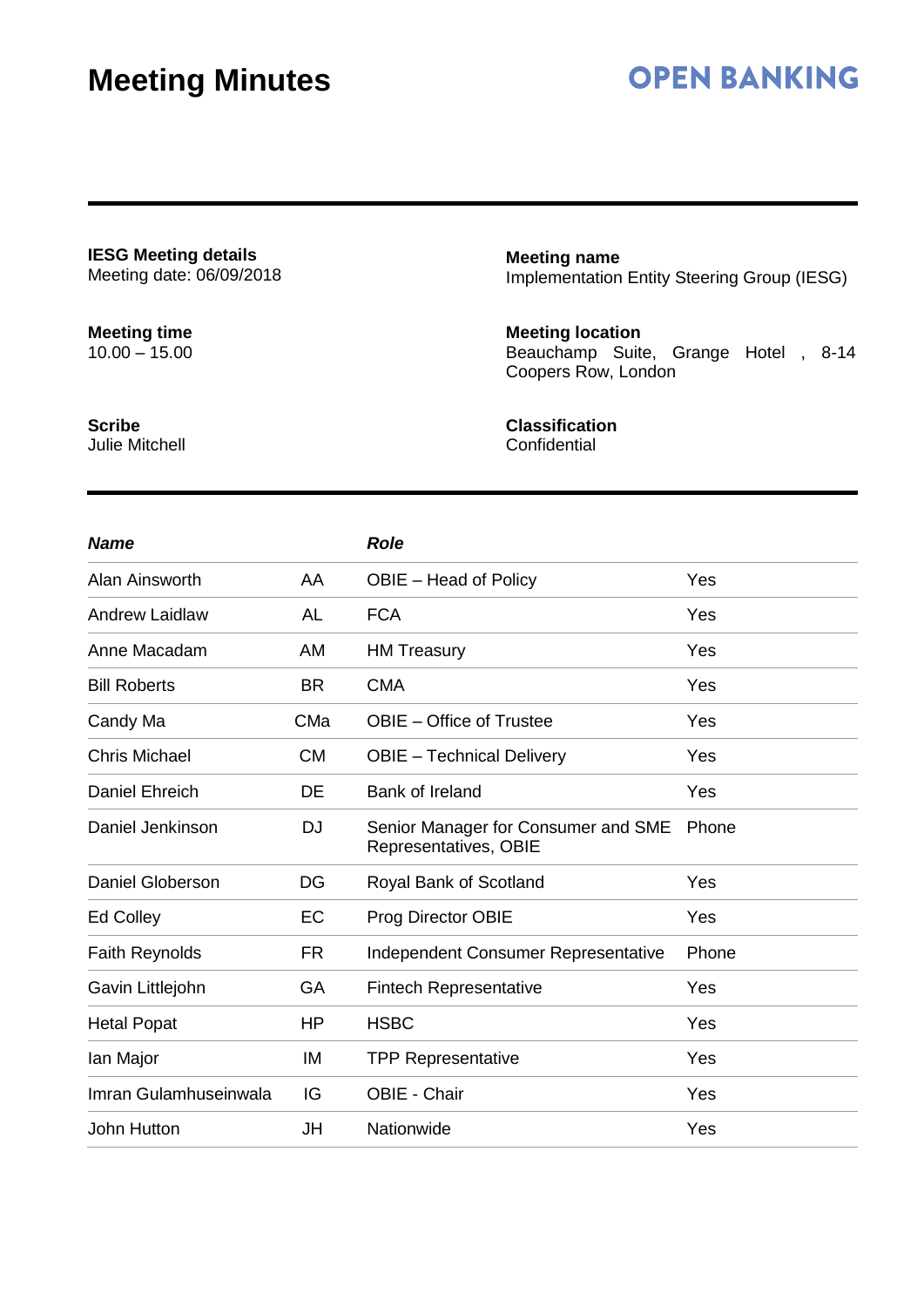## **OPEN BANKING**

**IESG Meeting details** Meeting date: 06/09/2018

### **Meeting time**

10.00 – 15.00

**Meeting name** Implementation Entity Steering Group (IESG)

#### **Meeting location**

Beauchamp Suite, Grange Hotel , 8-14 Coopers Row, London

**Scribe** Julie Mitchell

### **Classification**

**Confidential** 

| <b>Name</b>             |           | <b>Role</b>                                                  |       |
|-------------------------|-----------|--------------------------------------------------------------|-------|
| Alan Ainsworth          | AA        | OBIE – Head of Policy                                        | Yes   |
| <b>Andrew Laidlaw</b>   | <b>AL</b> | <b>FCA</b>                                                   | Yes   |
| Anne Macadam            | AM        | <b>HM Treasury</b>                                           | Yes   |
| <b>Bill Roberts</b>     | <b>BR</b> | <b>CMA</b>                                                   | Yes   |
| Candy Ma                | CMa       | <b>OBIE</b> – Office of Trustee                              | Yes   |
| <b>Chris Michael</b>    | <b>CM</b> | <b>OBIE</b> - Technical Delivery                             | Yes   |
| <b>Daniel Ehreich</b>   | DE        | <b>Bank of Ireland</b>                                       | Yes   |
| Daniel Jenkinson        | <b>DJ</b> | Senior Manager for Consumer and SME<br>Representatives, OBIE | Phone |
| <b>Daniel Globerson</b> | DG        | Royal Bank of Scotland                                       | Yes   |
| Ed Colley               | EC        | Prog Director OBIE                                           | Yes   |
| <b>Faith Reynolds</b>   | FR        | Independent Consumer Representative                          | Phone |
| Gavin Littlejohn        | GA        | <b>Fintech Representative</b>                                | Yes   |
| <b>Hetal Popat</b>      | <b>HP</b> | <b>HSBC</b>                                                  | Yes   |
| Ian Major               | IM        | <b>TPP Representative</b>                                    | Yes   |
| Imran Gulamhuseinwala   | IG        | OBIE - Chair                                                 | Yes   |
| John Hutton             | JH        | Nationwide                                                   | Yes   |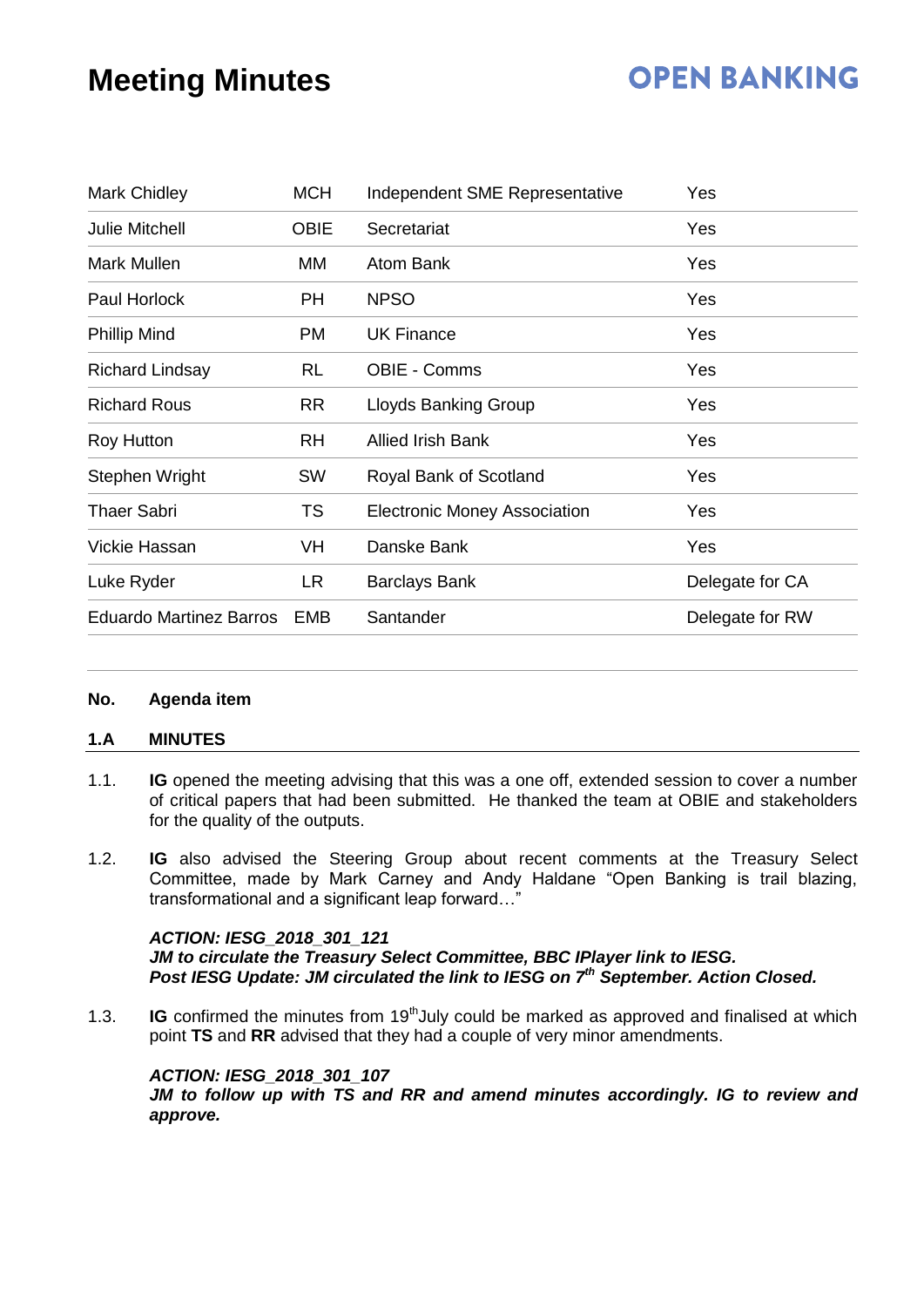## **OPEN BANKING**

| Mark Chidley                   | <b>MCH</b>  | Independent SME Representative      | Yes             |  |
|--------------------------------|-------------|-------------------------------------|-----------------|--|
| <b>Julie Mitchell</b>          | <b>OBIE</b> | Secretariat                         | Yes             |  |
| Mark Mullen                    | MМ          | <b>Atom Bank</b>                    | Yes             |  |
| Paul Horlock                   | <b>PH</b>   | <b>NPSO</b>                         | Yes             |  |
| <b>Phillip Mind</b>            | PM          | <b>UK Finance</b>                   | Yes             |  |
| <b>Richard Lindsay</b>         | <b>RL</b>   | <b>OBIE - Comms</b>                 | Yes             |  |
| <b>Richard Rous</b>            | <b>RR</b>   | <b>Lloyds Banking Group</b>         | Yes             |  |
| <b>Roy Hutton</b>              | <b>RH</b>   | <b>Allied Irish Bank</b>            | Yes             |  |
| Stephen Wright                 | <b>SW</b>   | Royal Bank of Scotland              | Yes             |  |
| <b>Thaer Sabri</b>             | TS          | <b>Electronic Money Association</b> | Yes             |  |
| Vickie Hassan                  | VH          | Danske Bank                         | Yes             |  |
| Luke Ryder                     | <b>LR</b>   | <b>Barclays Bank</b>                | Delegate for CA |  |
| <b>Eduardo Martinez Barros</b> | <b>EMB</b>  | Santander                           | Delegate for RW |  |

#### **No. Agenda item**

#### **1.A MINUTES**

- 1.1. **IG** opened the meeting advising that this was a one off, extended session to cover a number of critical papers that had been submitted. He thanked the team at OBIE and stakeholders for the quality of the outputs.
- 1.2. **IG** also advised the Steering Group about recent comments at the Treasury Select Committee, made by Mark Carney and Andy Haldane "Open Banking is trail blazing, transformational and a significant leap forward...'

#### *ACTION: IESG\_2018\_301\_121*

*JM to circulate the Treasury Select Committee, BBC IPlayer link to IESG. Post IESG Update: JM circulated the link to IESG on 7th September. Action Closed.*

1.3. **IG** confirmed the minutes from 19<sup>th</sup>July could be marked as approved and finalised at which point **TS** and **RR** advised that they had a couple of very minor amendments.

#### *ACTION: IESG\_2018\_301\_107*

*JM to follow up with TS and RR and amend minutes accordingly. IG to review and approve.*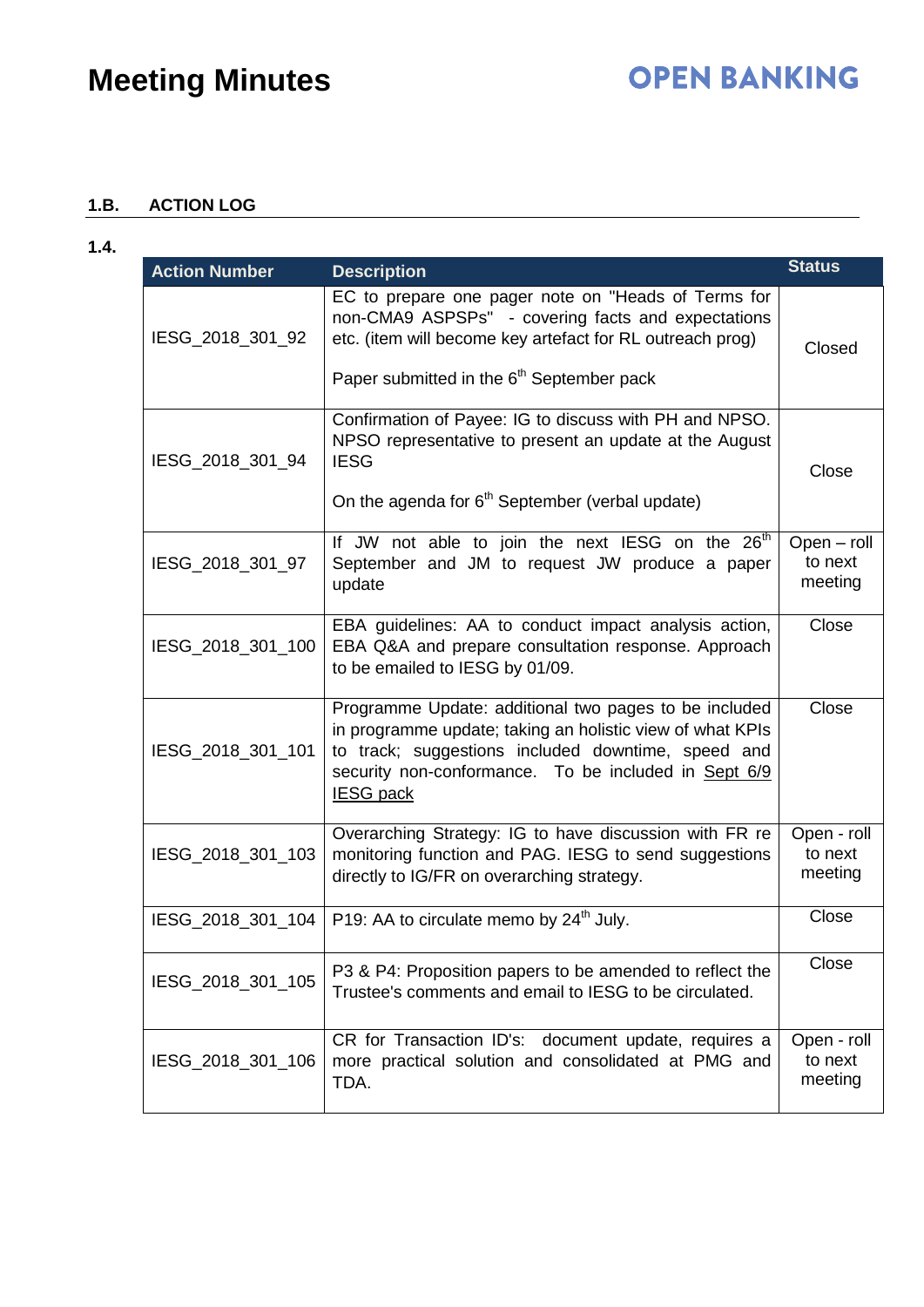### **1.B. ACTION LOG**

| ۰. |  |
|----|--|
|    |  |

| <b>Action Number</b> | <b>Description</b>                                                                                                                                                                                                                                   | <b>Status</b>                     |
|----------------------|------------------------------------------------------------------------------------------------------------------------------------------------------------------------------------------------------------------------------------------------------|-----------------------------------|
| IESG_2018_301_92     | EC to prepare one pager note on "Heads of Terms for<br>non-CMA9 ASPSPs" - covering facts and expectations<br>etc. (item will become key artefact for RL outreach prog)<br>Paper submitted in the 6 <sup>th</sup> September pack                      | Closed                            |
| IESG_2018_301_94     | Confirmation of Payee: IG to discuss with PH and NPSO.<br>NPSO representative to present an update at the August<br><b>IESG</b><br>On the agenda for 6 <sup>th</sup> September (verbal update)                                                       | Close                             |
| IESG_2018_301_97     | If JW not able to join the next IESG on the 26 <sup>th</sup><br>September and JM to request JW produce a paper<br>update                                                                                                                             | Open - roll<br>to next<br>meeting |
| IESG_2018_301_100    | EBA guidelines: AA to conduct impact analysis action,<br>EBA Q&A and prepare consultation response. Approach<br>to be emailed to IESG by 01/09.                                                                                                      | Close                             |
| IESG_2018_301_101    | Programme Update: additional two pages to be included<br>in programme update; taking an holistic view of what KPIs<br>to track; suggestions included downtime, speed and<br>security non-conformance. To be included in Sept 6/9<br><b>IESG pack</b> | Close                             |
| IESG_2018_301_103    | Overarching Strategy: IG to have discussion with FR re<br>monitoring function and PAG. IESG to send suggestions<br>directly to IG/FR on overarching strategy.                                                                                        | Open - roll<br>to next<br>meeting |
| IESG_2018_301_104    | P19: AA to circulate memo by 24 <sup>th</sup> July.                                                                                                                                                                                                  | Close                             |
| IESG_2018_301_105    | P3 & P4: Proposition papers to be amended to reflect the<br>Trustee's comments and email to IESG to be circulated.                                                                                                                                   | Close                             |
| IESG_2018_301_106    | CR for Transaction ID's: document update, requires a<br>more practical solution and consolidated at PMG and<br>TDA.                                                                                                                                  | Open - roll<br>to next<br>meeting |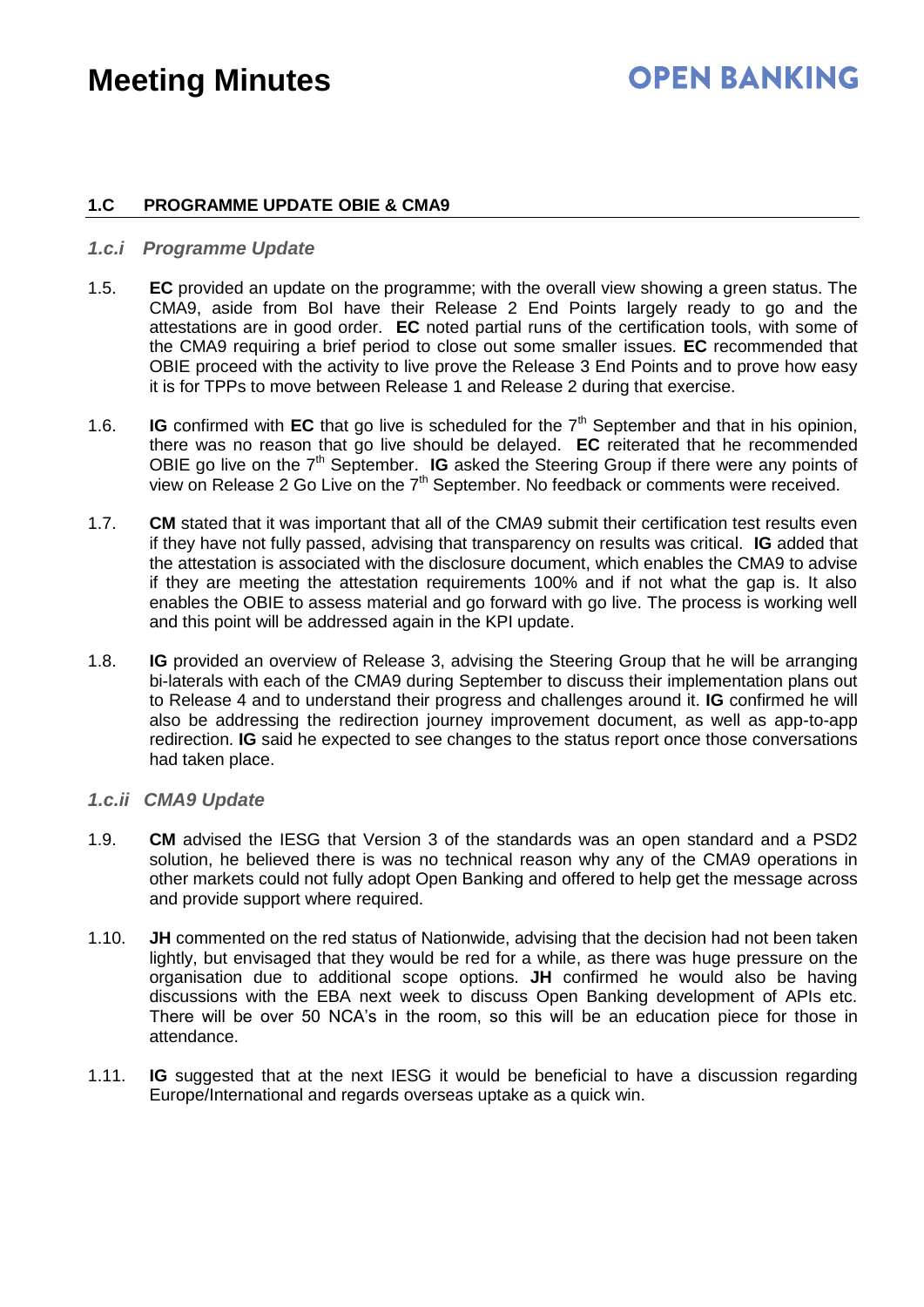### **OPEN BANKING**

#### **1.C PROGRAMME UPDATE OBIE & CMA9**

#### *1.c.i Programme Update*

- 1.5. **EC** provided an update on the programme; with the overall view showing a green status. The CMA9, aside from BoI have their Release 2 End Points largely ready to go and the attestations are in good order. **EC** noted partial runs of the certification tools, with some of the CMA9 requiring a brief period to close out some smaller issues. **EC** recommended that OBIE proceed with the activity to live prove the Release 3 End Points and to prove how easy it is for TPPs to move between Release 1 and Release 2 during that exercise.
- 1.6. **IG** confirmed with **EC** that go live is scheduled for the  $7<sup>th</sup>$  September and that in his opinion, there was no reason that go live should be delayed. **EC** reiterated that he recommended OBIE go live on the 7<sup>th</sup> September. **IG** asked the Steering Group if there were any points of view on Release 2 Go Live on the  $7<sup>th</sup>$  September. No feedback or comments were received.
- 1.7. **CM** stated that it was important that all of the CMA9 submit their certification test results even if they have not fully passed, advising that transparency on results was critical. **IG** added that the attestation is associated with the disclosure document, which enables the CMA9 to advise if they are meeting the attestation requirements 100% and if not what the gap is. It also enables the OBIE to assess material and go forward with go live. The process is working well and this point will be addressed again in the KPI update.
- 1.8. **IG** provided an overview of Release 3, advising the Steering Group that he will be arranging bi-laterals with each of the CMA9 during September to discuss their implementation plans out to Release 4 and to understand their progress and challenges around it. **IG** confirmed he will also be addressing the redirection journey improvement document, as well as app-to-app redirection. **IG** said he expected to see changes to the status report once those conversations had taken place.

#### *1.c.ii CMA9 Update*

- 1.9. **CM** advised the IESG that Version 3 of the standards was an open standard and a PSD2 solution, he believed there is was no technical reason why any of the CMA9 operations in other markets could not fully adopt Open Banking and offered to help get the message across and provide support where required.
- 1.10. **JH** commented on the red status of Nationwide, advising that the decision had not been taken lightly, but envisaged that they would be red for a while, as there was huge pressure on the organisation due to additional scope options. **JH** confirmed he would also be having discussions with the EBA next week to discuss Open Banking development of APIs etc. There will be over 50 NCA's in the room, so this will be an education piece for those in attendance.
- 1.11. **IG** suggested that at the next IESG it would be beneficial to have a discussion regarding Europe/International and regards overseas uptake as a quick win.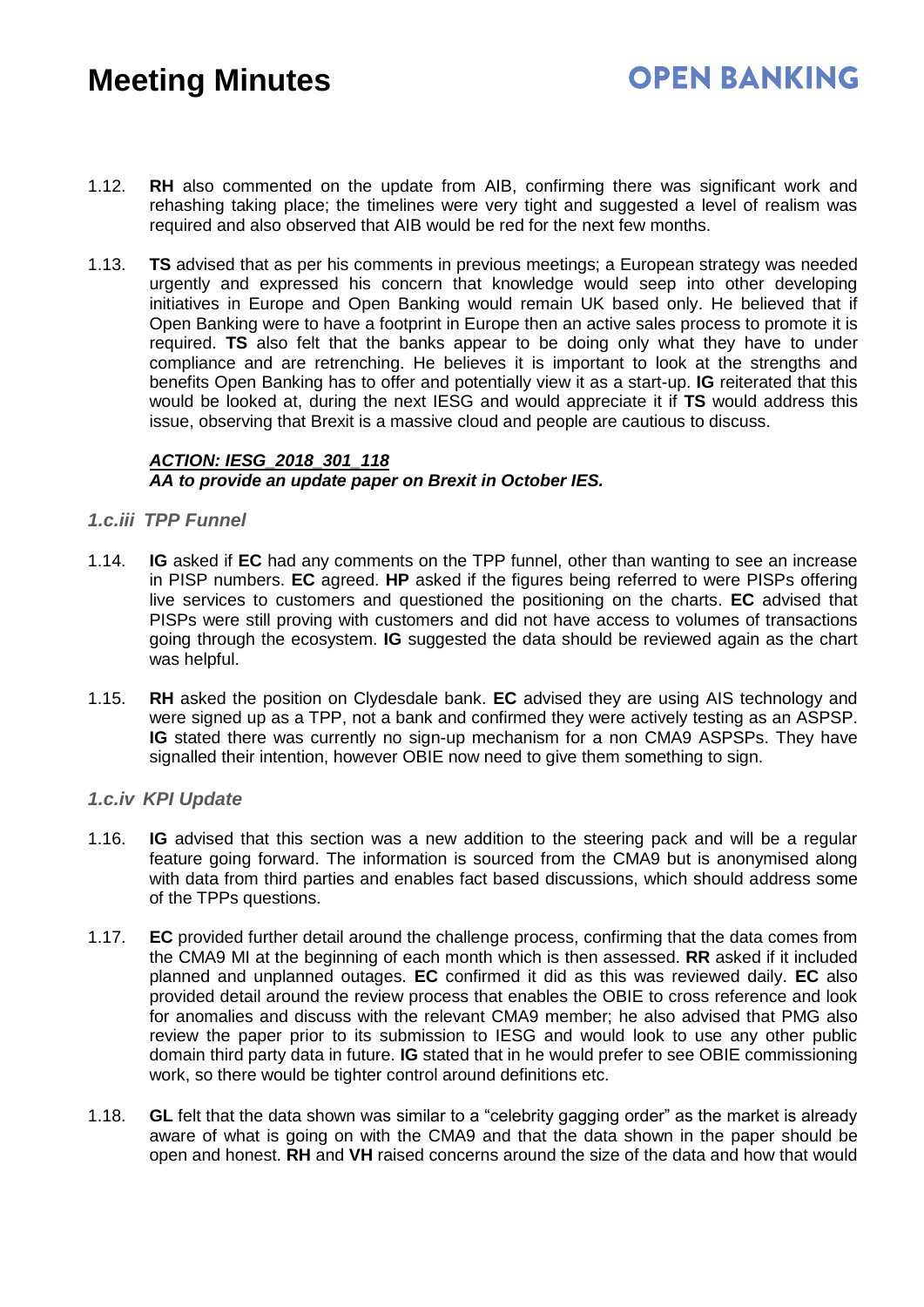### **OPEN BANKING**

- 1.12. **RH** also commented on the update from AIB, confirming there was significant work and rehashing taking place; the timelines were very tight and suggested a level of realism was required and also observed that AIB would be red for the next few months.
- 1.13. **TS** advised that as per his comments in previous meetings; a European strategy was needed urgently and expressed his concern that knowledge would seep into other developing initiatives in Europe and Open Banking would remain UK based only. He believed that if Open Banking were to have a footprint in Europe then an active sales process to promote it is required. **TS** also felt that the banks appear to be doing only what they have to under compliance and are retrenching. He believes it is important to look at the strengths and benefits Open Banking has to offer and potentially view it as a start-up. **IG** reiterated that this would be looked at, during the next IESG and would appreciate it if **TS** would address this issue, observing that Brexit is a massive cloud and people are cautious to discuss.

#### *ACTION: IESG\_2018\_301\_118 AA to provide an update paper on Brexit in October IES.*

#### *1.c.iii TPP Funnel*

- 1.14. **IG** asked if **EC** had any comments on the TPP funnel, other than wanting to see an increase in PISP numbers. **EC** agreed. **HP** asked if the figures being referred to were PISPs offering live services to customers and questioned the positioning on the charts. **EC** advised that PISPs were still proving with customers and did not have access to volumes of transactions going through the ecosystem. **IG** suggested the data should be reviewed again as the chart was helpful.
- 1.15. **RH** asked the position on Clydesdale bank. **EC** advised they are using AIS technology and were signed up as a TPP, not a bank and confirmed they were actively testing as an ASPSP. **IG** stated there was currently no sign-up mechanism for a non CMA9 ASPSPs. They have signalled their intention, however OBIE now need to give them something to sign.

#### *1.c.iv KPI Update*

- 1.16. **IG** advised that this section was a new addition to the steering pack and will be a regular feature going forward. The information is sourced from the CMA9 but is anonymised along with data from third parties and enables fact based discussions, which should address some of the TPPs questions.
- 1.17. **EC** provided further detail around the challenge process, confirming that the data comes from the CMA9 MI at the beginning of each month which is then assessed. **RR** asked if it included planned and unplanned outages. **EC** confirmed it did as this was reviewed daily. **EC** also provided detail around the review process that enables the OBIE to cross reference and look for anomalies and discuss with the relevant CMA9 member; he also advised that PMG also review the paper prior to its submission to IESG and would look to use any other public domain third party data in future. **IG** stated that in he would prefer to see OBIE commissioning work, so there would be tighter control around definitions etc.
- 1.18. **GL** felt that the data shown was similar to a "celebrity gagging order" as the market is already aware of what is going on with the CMA9 and that the data shown in the paper should be open and honest. **RH** and **VH** raised concerns around the size of the data and how that would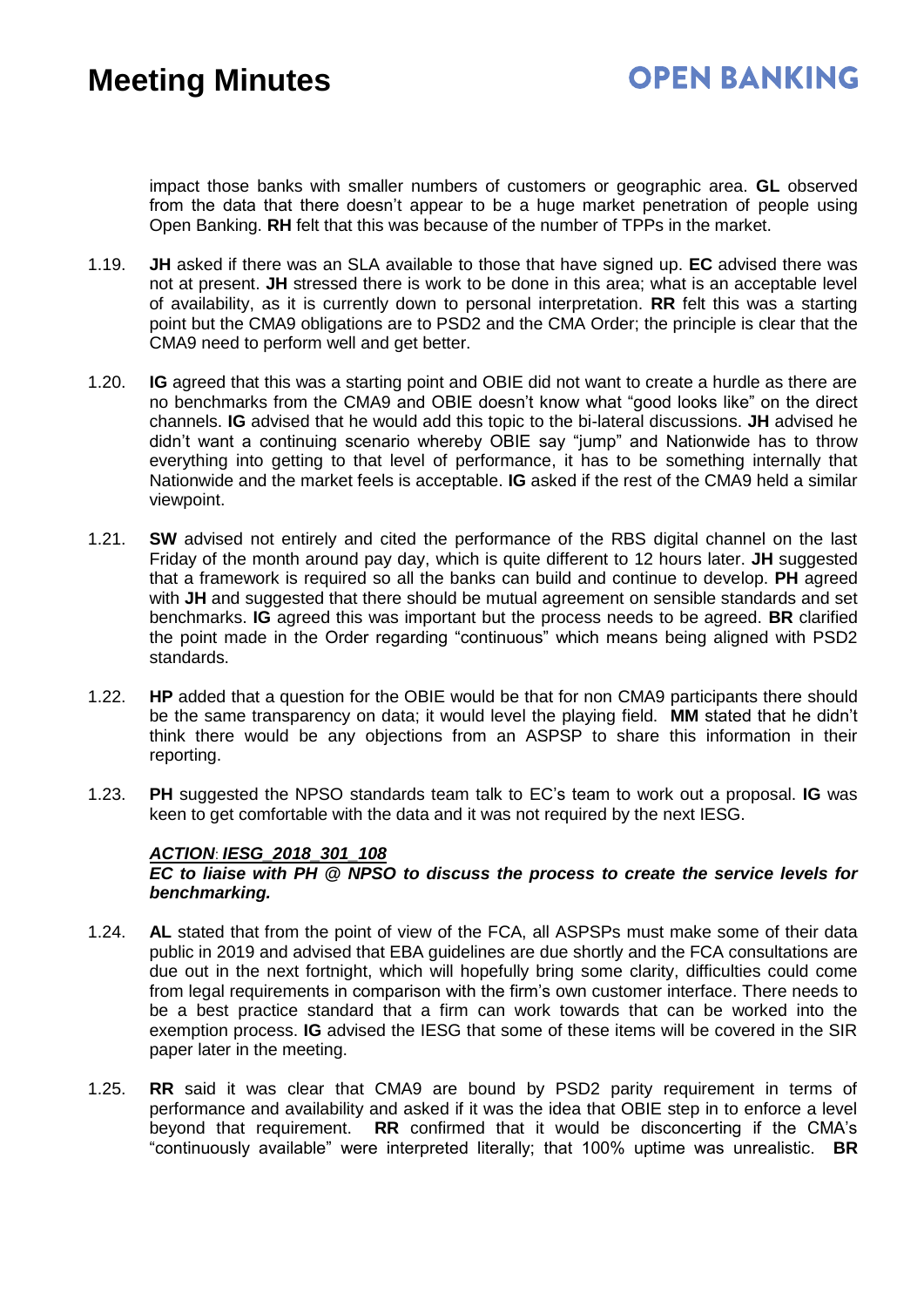impact those banks with smaller numbers of customers or geographic area. **GL** observed from the data that there doesn't appear to be a huge market penetration of people using Open Banking. **RH** felt that this was because of the number of TPPs in the market.

- 1.19. **JH** asked if there was an SLA available to those that have signed up. **EC** advised there was not at present. **JH** stressed there is work to be done in this area; what is an acceptable level of availability, as it is currently down to personal interpretation. **RR** felt this was a starting point but the CMA9 obligations are to PSD2 and the CMA Order; the principle is clear that the CMA9 need to perform well and get better.
- 1.20. **IG** agreed that this was a starting point and OBIE did not want to create a hurdle as there are no benchmarks from the CMA9 and OBIE doesn't know what "good looks like" on the direct channels. **IG** advised that he would add this topic to the bi-lateral discussions. **JH** advised he didn't want a continuing scenario whereby OBIE say "jump" and Nationwide has to throw everything into getting to that level of performance, it has to be something internally that Nationwide and the market feels is acceptable. **IG** asked if the rest of the CMA9 held a similar viewpoint.
- 1.21. **SW** advised not entirely and cited the performance of the RBS digital channel on the last Friday of the month around pay day, which is quite different to 12 hours later. **JH** suggested that a framework is required so all the banks can build and continue to develop. **PH** agreed with **JH** and suggested that there should be mutual agreement on sensible standards and set benchmarks. **IG** agreed this was important but the process needs to be agreed. **BR** clarified the point made in the Order regarding "continuous" which means being aligned with PSD2 standards.
- 1.22. **HP** added that a question for the OBIE would be that for non CMA9 participants there should be the same transparency on data; it would level the playing field. **MM** stated that he didn't think there would be any objections from an ASPSP to share this information in their reporting.
- 1.23. **PH** suggested the NPSO standards team talk to EC's team to work out a proposal. **IG** was keen to get comfortable with the data and it was not required by the next IESG.

#### *ACTION*: *IESG\_2018\_301\_108*

#### *EC to liaise with PH @ NPSO to discuss the process to create the service levels for benchmarking.*

- 1.24. **AL** stated that from the point of view of the FCA, all ASPSPs must make some of their data public in 2019 and advised that EBA guidelines are due shortly and the FCA consultations are due out in the next fortnight, which will hopefully bring some clarity, difficulties could come from legal requirements in comparison with the firm's own customer interface. There needs to be a best practice standard that a firm can work towards that can be worked into the exemption process. **IG** advised the IESG that some of these items will be covered in the SIR paper later in the meeting.
- 1.25. **RR** said it was clear that CMA9 are bound by PSD2 parity requirement in terms of performance and availability and asked if it was the idea that OBIE step in to enforce a level beyond that requirement. **RR** confirmed that it would be disconcerting if the CMA's "continuously available" were interpreted literally; that 100% uptime was unrealistic. **BR**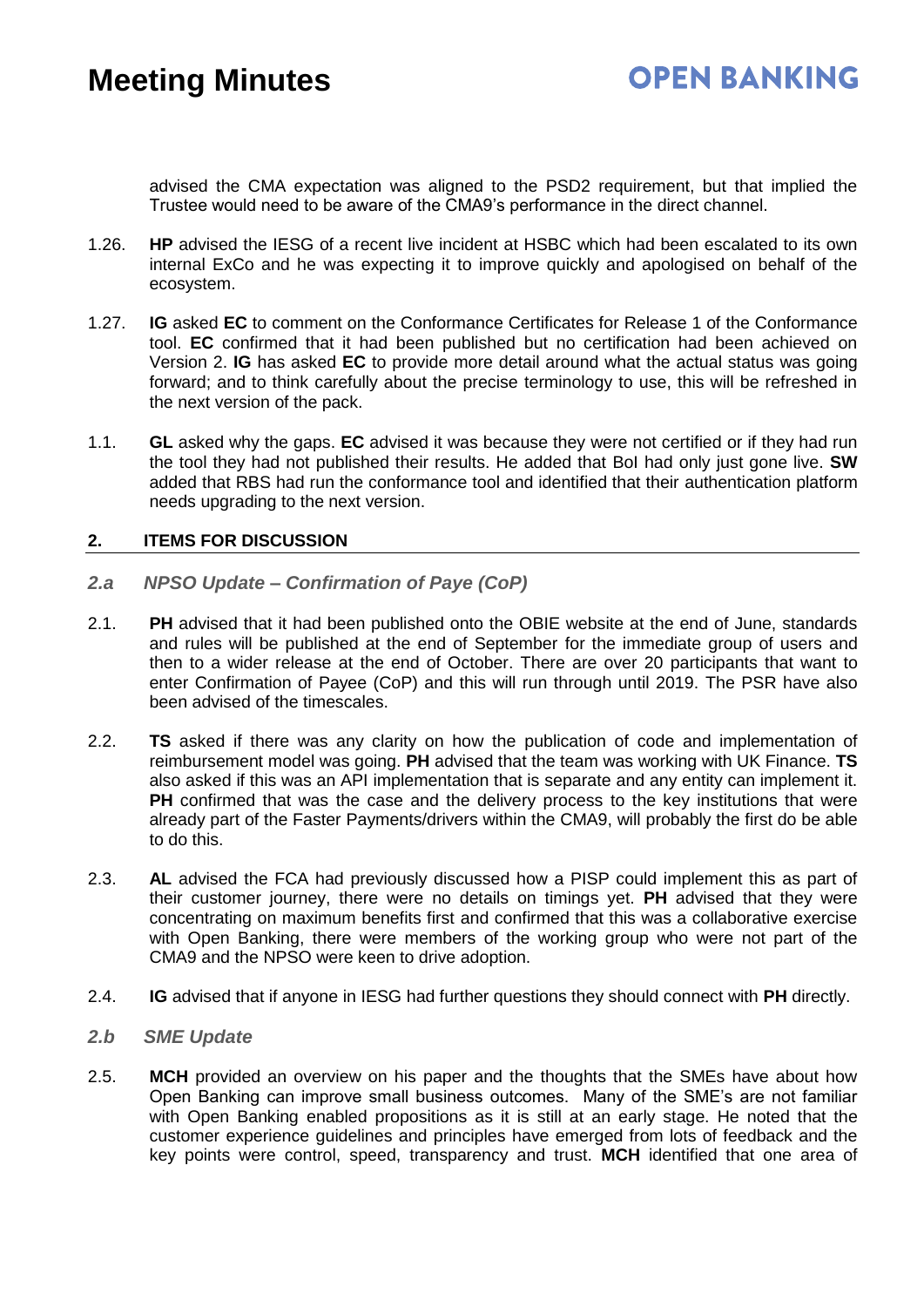advised the CMA expectation was aligned to the PSD2 requirement, but that implied the Trustee would need to be aware of the CMA9's performance in the direct channel.

- 1.26. **HP** advised the IESG of a recent live incident at HSBC which had been escalated to its own internal ExCo and he was expecting it to improve quickly and apologised on behalf of the ecosystem.
- 1.27. **IG** asked **EC** to comment on the Conformance Certificates for Release 1 of the Conformance tool. **EC** confirmed that it had been published but no certification had been achieved on Version 2. **IG** has asked **EC** to provide more detail around what the actual status was going forward; and to think carefully about the precise terminology to use, this will be refreshed in the next version of the pack.
- 1.1. **GL** asked why the gaps. **EC** advised it was because they were not certified or if they had run the tool they had not published their results. He added that BoI had only just gone live. **SW** added that RBS had run the conformance tool and identified that their authentication platform needs upgrading to the next version.

#### **2. ITEMS FOR DISCUSSION**

- *2.a NPSO Update – Confirmation of Paye (CoP)*
- 2.1. **PH** advised that it had been published onto the OBIE website at the end of June, standards and rules will be published at the end of September for the immediate group of users and then to a wider release at the end of October. There are over 20 participants that want to enter Confirmation of Payee (CoP) and this will run through until 2019. The PSR have also been advised of the timescales.
- 2.2. **TS** asked if there was any clarity on how the publication of code and implementation of reimbursement model was going. **PH** advised that the team was working with UK Finance. **TS** also asked if this was an API implementation that is separate and any entity can implement it. **PH** confirmed that was the case and the delivery process to the key institutions that were already part of the Faster Payments/drivers within the CMA9, will probably the first do be able to do this.
- 2.3. **AL** advised the FCA had previously discussed how a PISP could implement this as part of their customer journey, there were no details on timings yet. **PH** advised that they were concentrating on maximum benefits first and confirmed that this was a collaborative exercise with Open Banking, there were members of the working group who were not part of the CMA9 and the NPSO were keen to drive adoption.
- 2.4. **IG** advised that if anyone in IESG had further questions they should connect with **PH** directly.
- *2.b SME Update*
- 2.5. **MCH** provided an overview on his paper and the thoughts that the SMEs have about how Open Banking can improve small business outcomes. Many of the SME's are not familiar with Open Banking enabled propositions as it is still at an early stage. He noted that the customer experience guidelines and principles have emerged from lots of feedback and the key points were control, speed, transparency and trust. **MCH** identified that one area of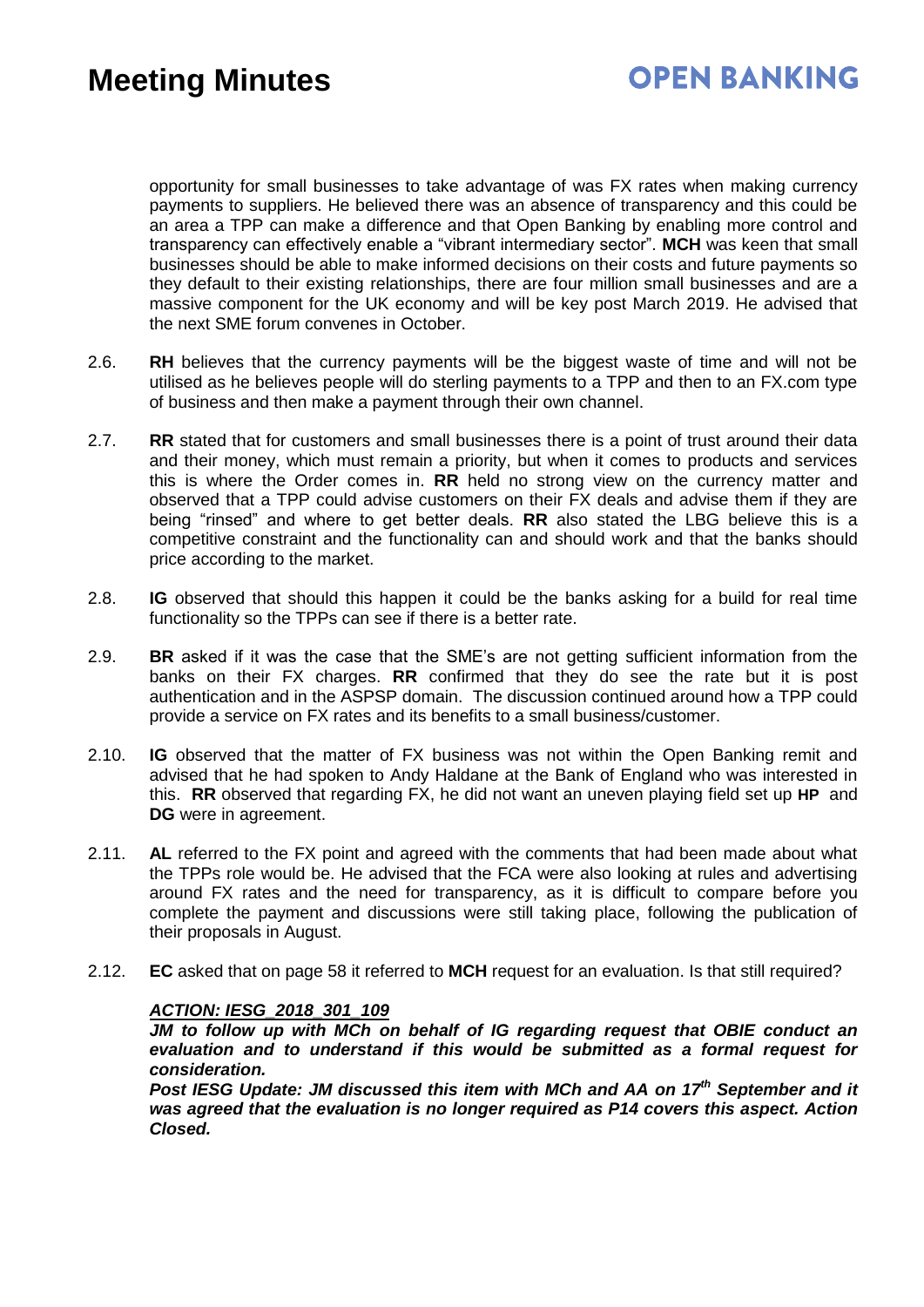opportunity for small businesses to take advantage of was FX rates when making currency payments to suppliers. He believed there was an absence of transparency and this could be an area a TPP can make a difference and that Open Banking by enabling more control and transparency can effectively enable a "vibrant intermediary sector". **MCH** was keen that small businesses should be able to make informed decisions on their costs and future payments so they default to their existing relationships, there are four million small businesses and are a massive component for the UK economy and will be key post March 2019. He advised that the next SME forum convenes in October.

- 2.6. **RH** believes that the currency payments will be the biggest waste of time and will not be utilised as he believes people will do sterling payments to a TPP and then to an FX.com type of business and then make a payment through their own channel.
- 2.7. **RR** stated that for customers and small businesses there is a point of trust around their data and their money, which must remain a priority, but when it comes to products and services this is where the Order comes in. **RR** held no strong view on the currency matter and observed that a TPP could advise customers on their FX deals and advise them if they are being "rinsed" and where to get better deals. **RR** also stated the LBG believe this is a competitive constraint and the functionality can and should work and that the banks should price according to the market.
- 2.8. **IG** observed that should this happen it could be the banks asking for a build for real time functionality so the TPPs can see if there is a better rate.
- 2.9. **BR** asked if it was the case that the SME's are not getting sufficient information from the banks on their FX charges. **RR** confirmed that they do see the rate but it is post authentication and in the ASPSP domain. The discussion continued around how a TPP could provide a service on FX rates and its benefits to a small business/customer.
- 2.10. **IG** observed that the matter of FX business was not within the Open Banking remit and advised that he had spoken to Andy Haldane at the Bank of England who was interested in this. **RR** observed that regarding FX, he did not want an uneven playing field set up **HP** and **DG** were in agreement.
- 2.11. **AL** referred to the FX point and agreed with the comments that had been made about what the TPPs role would be. He advised that the FCA were also looking at rules and advertising around FX rates and the need for transparency, as it is difficult to compare before you complete the payment and discussions were still taking place, following the publication of their proposals in August.
- 2.12. **EC** asked that on page 58 it referred to **MCH** request for an evaluation. Is that still required?

#### *ACTION: IESG\_2018\_301\_109*

*JM to follow up with MCh on behalf of IG regarding request that OBIE conduct an evaluation and to understand if this would be submitted as a formal request for consideration.* 

*Post IESG Update: JM discussed this item with MCh and AA on 17th September and it was agreed that the evaluation is no longer required as P14 covers this aspect. Action Closed.*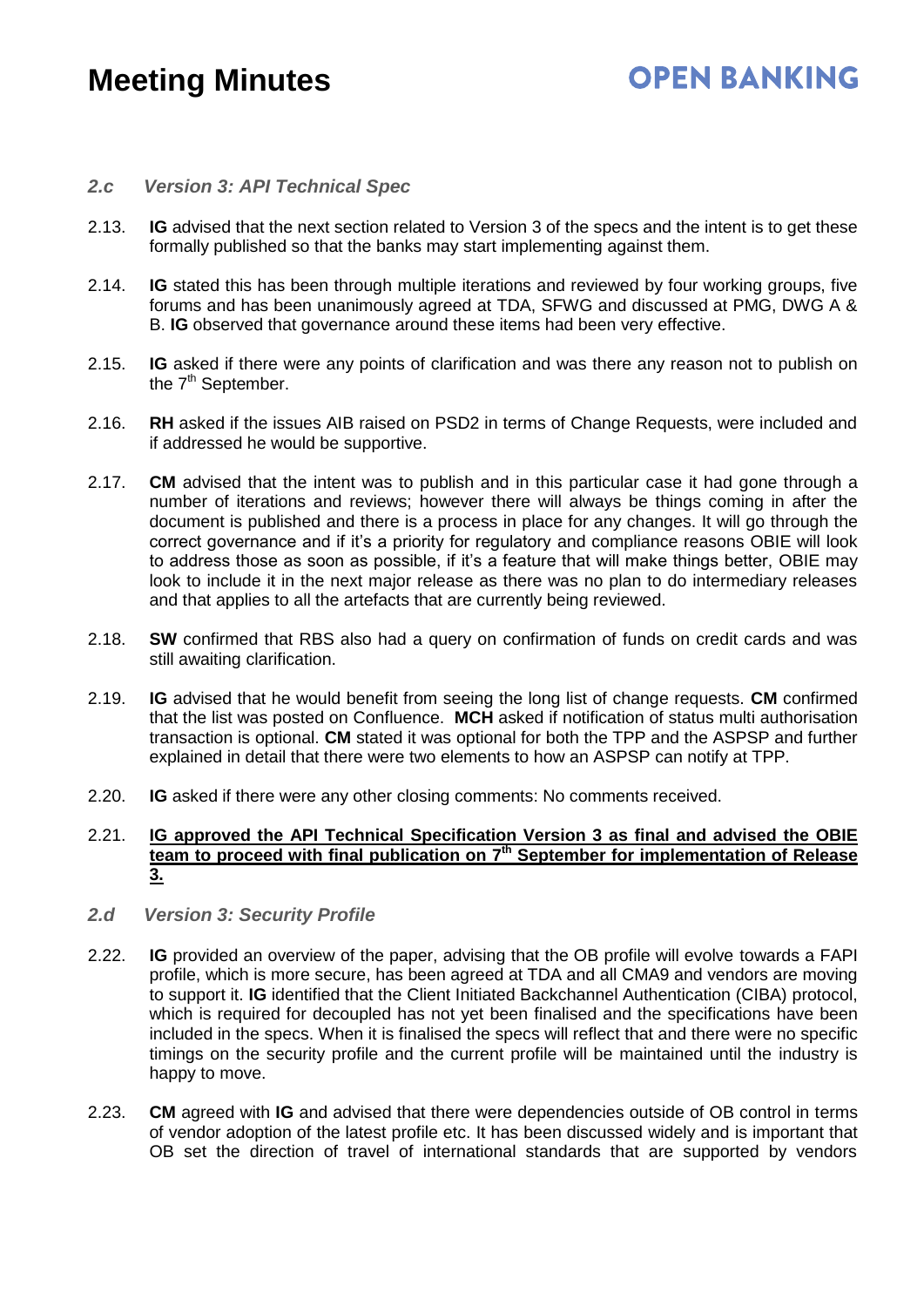## **OPEN BANKING**

#### *2.c Version 3: API Technical Spec*

- 2.13. **IG** advised that the next section related to Version 3 of the specs and the intent is to get these formally published so that the banks may start implementing against them.
- 2.14. **IG** stated this has been through multiple iterations and reviewed by four working groups, five forums and has been unanimously agreed at TDA, SFWG and discussed at PMG, DWG A & B. **IG** observed that governance around these items had been very effective.
- 2.15. **IG** asked if there were any points of clarification and was there any reason not to publish on the 7<sup>th</sup> September.
- 2.16. **RH** asked if the issues AIB raised on PSD2 in terms of Change Requests, were included and if addressed he would be supportive.
- 2.17. **CM** advised that the intent was to publish and in this particular case it had gone through a number of iterations and reviews; however there will always be things coming in after the document is published and there is a process in place for any changes. It will go through the correct governance and if it's a priority for regulatory and compliance reasons OBIE will look to address those as soon as possible, if it's a feature that will make things better, OBIE may look to include it in the next major release as there was no plan to do intermediary releases and that applies to all the artefacts that are currently being reviewed.
- 2.18. **SW** confirmed that RBS also had a query on confirmation of funds on credit cards and was still awaiting clarification.
- 2.19. **IG** advised that he would benefit from seeing the long list of change requests. **CM** confirmed that the list was posted on Confluence. **MCH** asked if notification of status multi authorisation transaction is optional. **CM** stated it was optional for both the TPP and the ASPSP and further explained in detail that there were two elements to how an ASPSP can notify at TPP.
- 2.20. **IG** asked if there were any other closing comments: No comments received.

#### 2.21. **IG approved the API Technical Specification Version 3 as final and advised the OBIE team to proceed with final publication on 7 th September for implementation of Release 3.**

- *2.d Version 3: Security Profile*
- 2.22. **IG** provided an overview of the paper, advising that the OB profile will evolve towards a FAPI profile, which is more secure, has been agreed at TDA and all CMA9 and vendors are moving to support it. **IG** identified that the Client Initiated Backchannel Authentication (CIBA) protocol, which is required for decoupled has not yet been finalised and the specifications have been included in the specs. When it is finalised the specs will reflect that and there were no specific timings on the security profile and the current profile will be maintained until the industry is happy to move.
- 2.23. **CM** agreed with **IG** and advised that there were dependencies outside of OB control in terms of vendor adoption of the latest profile etc. It has been discussed widely and is important that OB set the direction of travel of international standards that are supported by vendors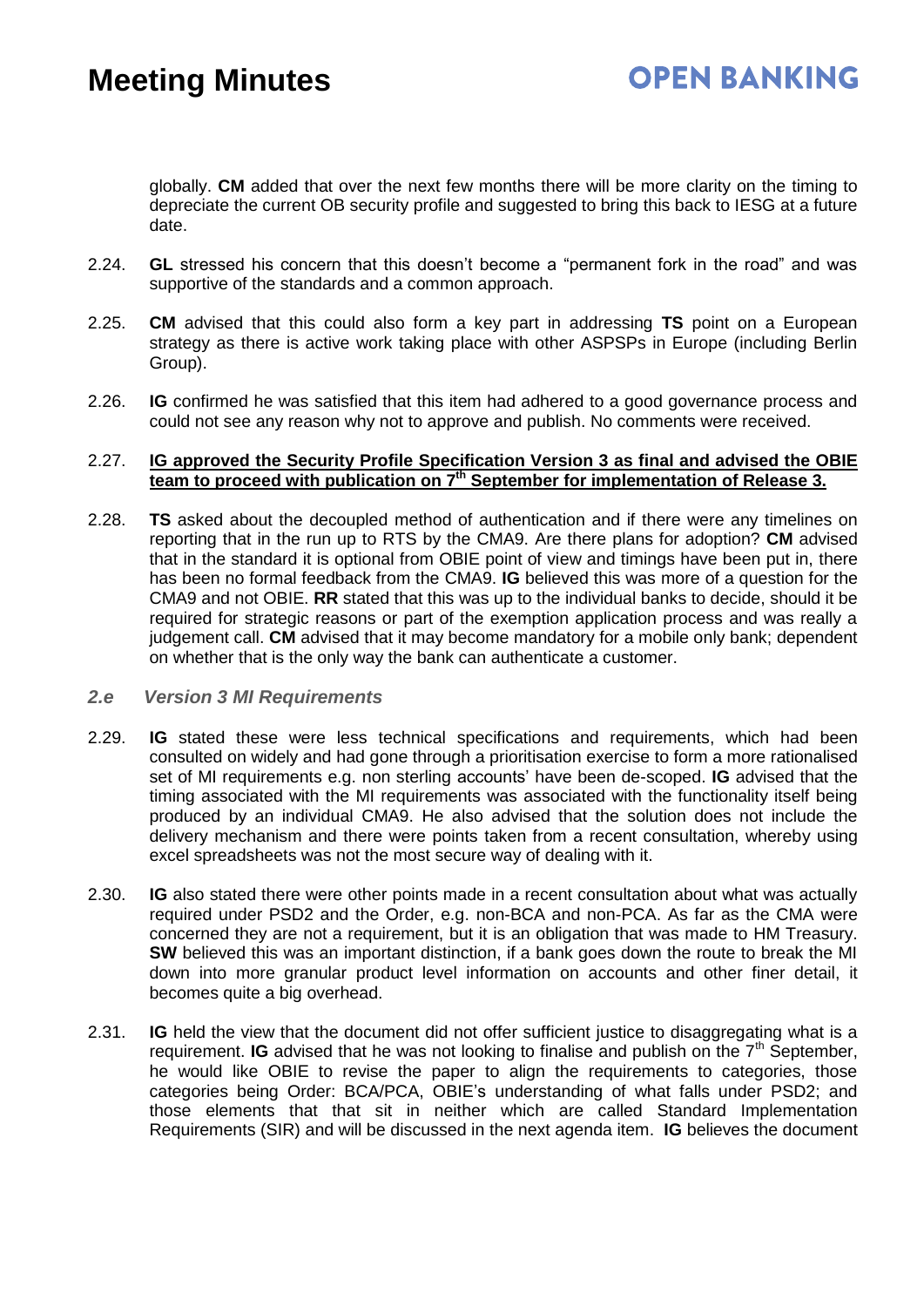globally. **CM** added that over the next few months there will be more clarity on the timing to depreciate the current OB security profile and suggested to bring this back to IESG at a future date.

- 2.24. **GL** stressed his concern that this doesn't become a "permanent fork in the road" and was supportive of the standards and a common approach.
- 2.25. **CM** advised that this could also form a key part in addressing **TS** point on a European strategy as there is active work taking place with other ASPSPs in Europe (including Berlin Group).
- 2.26. **IG** confirmed he was satisfied that this item had adhered to a good governance process and could not see any reason why not to approve and publish. No comments were received.

#### 2.27. **IG approved the Security Profile Specification Version 3 as final and advised the OBIE team to proceed with publication on 7th September for implementation of Release 3.**

2.28. **TS** asked about the decoupled method of authentication and if there were any timelines on reporting that in the run up to RTS by the CMA9. Are there plans for adoption? **CM** advised that in the standard it is optional from OBIE point of view and timings have been put in, there has been no formal feedback from the CMA9. **IG** believed this was more of a question for the CMA9 and not OBIE. **RR** stated that this was up to the individual banks to decide, should it be required for strategic reasons or part of the exemption application process and was really a judgement call. **CM** advised that it may become mandatory for a mobile only bank; dependent on whether that is the only way the bank can authenticate a customer.

#### *2.e Version 3 MI Requirements*

- 2.29. **IG** stated these were less technical specifications and requirements, which had been consulted on widely and had gone through a prioritisation exercise to form a more rationalised set of MI requirements e.g. non sterling accounts' have been de-scoped. **IG** advised that the timing associated with the MI requirements was associated with the functionality itself being produced by an individual CMA9. He also advised that the solution does not include the delivery mechanism and there were points taken from a recent consultation, whereby using excel spreadsheets was not the most secure way of dealing with it.
- 2.30. **IG** also stated there were other points made in a recent consultation about what was actually required under PSD2 and the Order, e.g. non-BCA and non-PCA. As far as the CMA were concerned they are not a requirement, but it is an obligation that was made to HM Treasury. **SW** believed this was an important distinction, if a bank goes down the route to break the MI down into more granular product level information on accounts and other finer detail, it becomes quite a big overhead.
- 2.31. **IG** held the view that the document did not offer sufficient justice to disaggregating what is a requirement. **IG** advised that he was not looking to finalise and publish on the 7<sup>th</sup> September, he would like OBIE to revise the paper to align the requirements to categories, those categories being Order: BCA/PCA, OBIE's understanding of what falls under PSD2; and those elements that that sit in neither which are called Standard Implementation Requirements (SIR) and will be discussed in the next agenda item. **IG** believes the document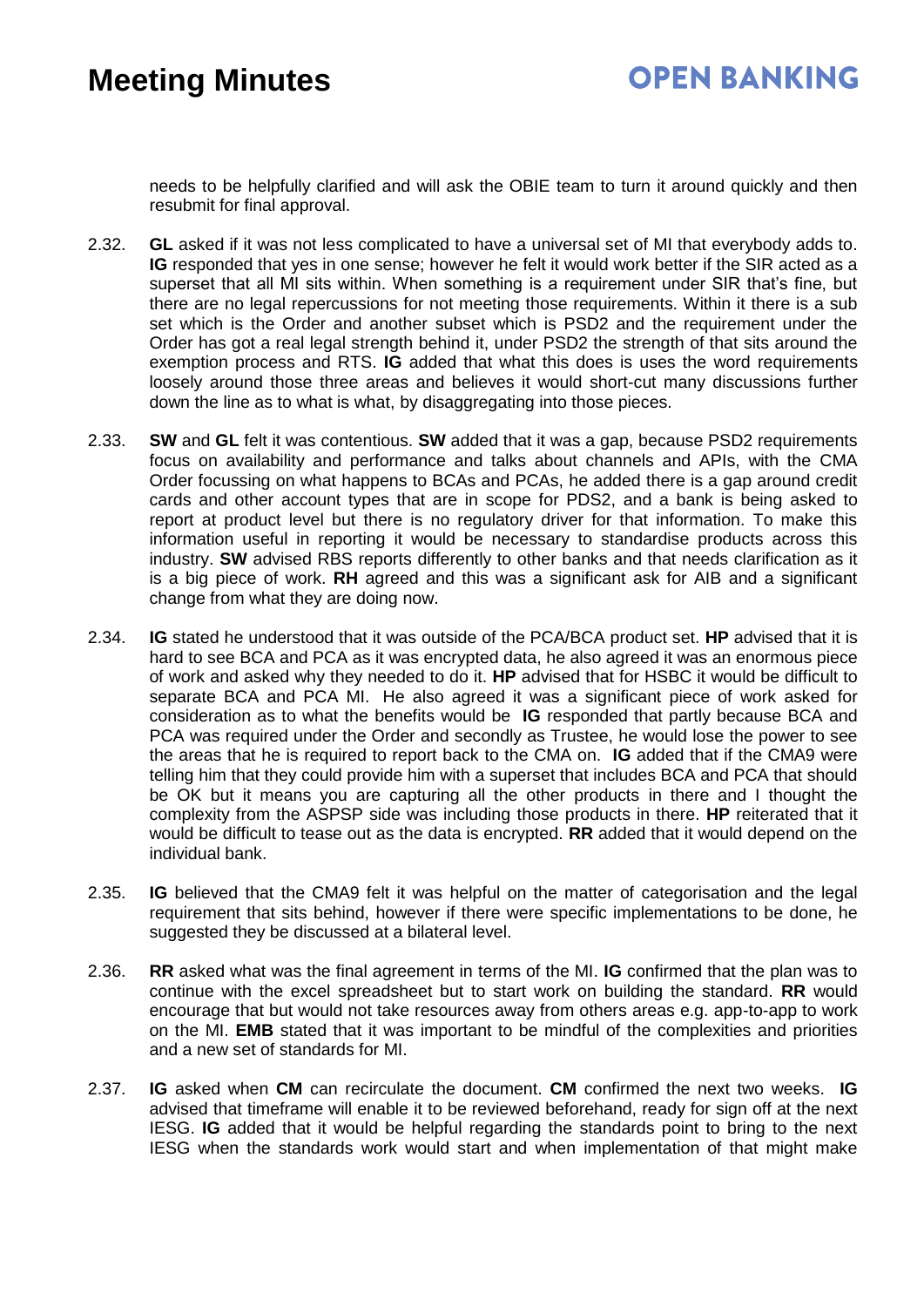needs to be helpfully clarified and will ask the OBIE team to turn it around quickly and then resubmit for final approval.

- 2.32. **GL** asked if it was not less complicated to have a universal set of MI that everybody adds to. **IG** responded that yes in one sense; however he felt it would work better if the SIR acted as a superset that all MI sits within. When something is a requirement under SIR that's fine, but there are no legal repercussions for not meeting those requirements. Within it there is a sub set which is the Order and another subset which is PSD2 and the requirement under the Order has got a real legal strength behind it, under PSD2 the strength of that sits around the exemption process and RTS. **IG** added that what this does is uses the word requirements loosely around those three areas and believes it would short-cut many discussions further down the line as to what is what, by disaggregating into those pieces.
- 2.33. **SW** and **GL** felt it was contentious. **SW** added that it was a gap, because PSD2 requirements focus on availability and performance and talks about channels and APIs, with the CMA Order focussing on what happens to BCAs and PCAs, he added there is a gap around credit cards and other account types that are in scope for PDS2, and a bank is being asked to report at product level but there is no regulatory driver for that information. To make this information useful in reporting it would be necessary to standardise products across this industry. **SW** advised RBS reports differently to other banks and that needs clarification as it is a big piece of work. **RH** agreed and this was a significant ask for AIB and a significant change from what they are doing now.
- 2.34. **IG** stated he understood that it was outside of the PCA/BCA product set. **HP** advised that it is hard to see BCA and PCA as it was encrypted data, he also agreed it was an enormous piece of work and asked why they needed to do it. **HP** advised that for HSBC it would be difficult to separate BCA and PCA MI. He also agreed it was a significant piece of work asked for consideration as to what the benefits would be **IG** responded that partly because BCA and PCA was required under the Order and secondly as Trustee, he would lose the power to see the areas that he is required to report back to the CMA on. **IG** added that if the CMA9 were telling him that they could provide him with a superset that includes BCA and PCA that should be OK but it means you are capturing all the other products in there and I thought the complexity from the ASPSP side was including those products in there. **HP** reiterated that it would be difficult to tease out as the data is encrypted. **RR** added that it would depend on the individual bank.
- 2.35. **IG** believed that the CMA9 felt it was helpful on the matter of categorisation and the legal requirement that sits behind, however if there were specific implementations to be done, he suggested they be discussed at a bilateral level.
- 2.36. **RR** asked what was the final agreement in terms of the MI. **IG** confirmed that the plan was to continue with the excel spreadsheet but to start work on building the standard. **RR** would encourage that but would not take resources away from others areas e.g. app-to-app to work on the MI. **EMB** stated that it was important to be mindful of the complexities and priorities and a new set of standards for MI.
- 2.37. **IG** asked when **CM** can recirculate the document. **CM** confirmed the next two weeks. **IG** advised that timeframe will enable it to be reviewed beforehand, ready for sign off at the next IESG. **IG** added that it would be helpful regarding the standards point to bring to the next IESG when the standards work would start and when implementation of that might make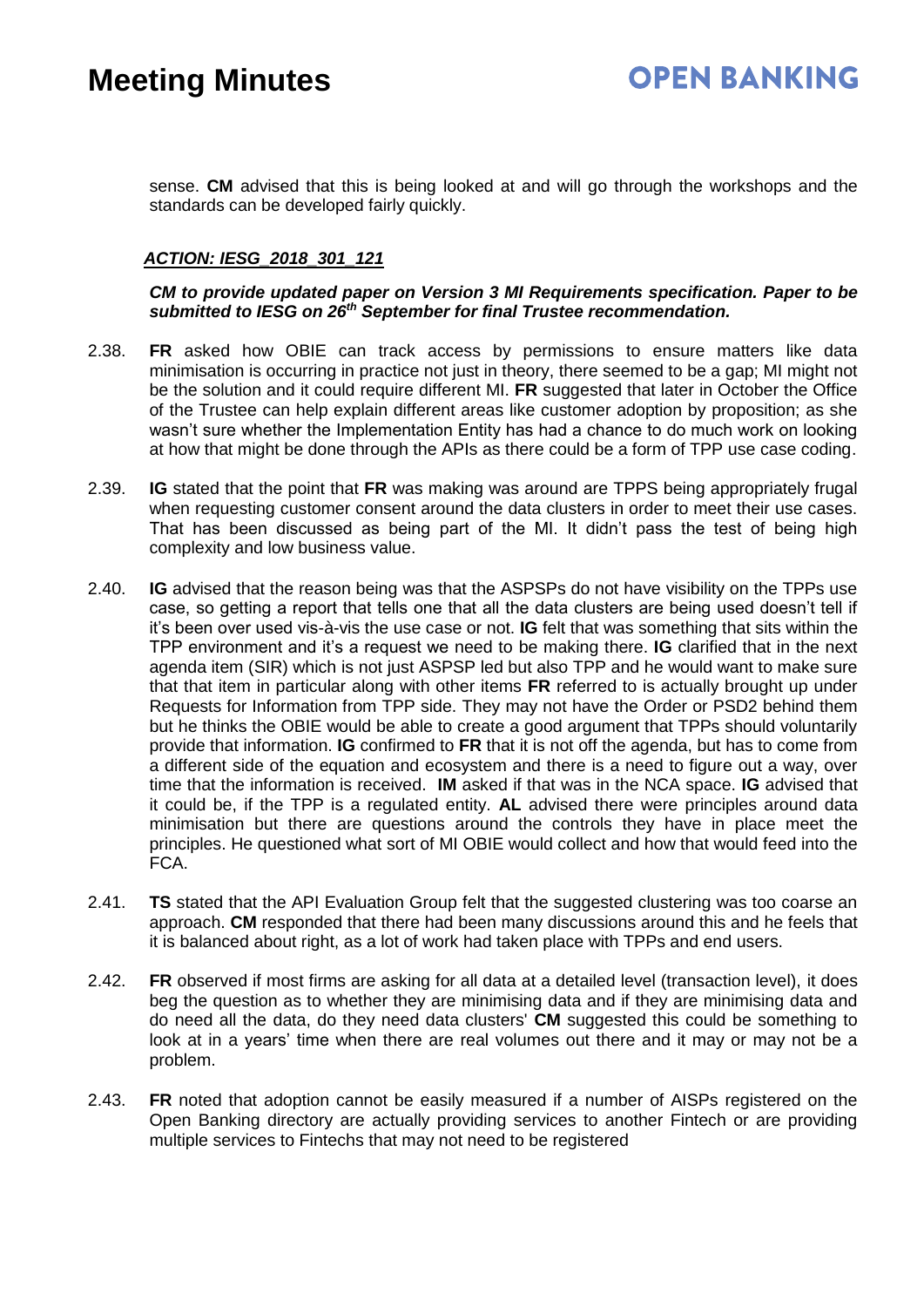sense. **CM** advised that this is being looked at and will go through the workshops and the standards can be developed fairly quickly.

#### *ACTION: IESG\_2018\_301\_121*

*CM to provide updated paper on Version 3 MI Requirements specification. Paper to be submitted to IESG on 26th September for final Trustee recommendation.*

- 2.38. **FR** asked how OBIE can track access by permissions to ensure matters like data minimisation is occurring in practice not just in theory, there seemed to be a gap; MI might not be the solution and it could require different MI. **FR** suggested that later in October the Office of the Trustee can help explain different areas like customer adoption by proposition; as she wasn't sure whether the Implementation Entity has had a chance to do much work on looking at how that might be done through the APIs as there could be a form of TPP use case coding.
- 2.39. **IG** stated that the point that **FR** was making was around are TPPS being appropriately frugal when requesting customer consent around the data clusters in order to meet their use cases. That has been discussed as being part of the MI. It didn't pass the test of being high complexity and low business value.
- 2.40. **IG** advised that the reason being was that the ASPSPs do not have visibility on the TPPs use case, so getting a report that tells one that all the data clusters are being used doesn't tell if it's been over used vis-à-vis the use case or not. **IG** felt that was something that sits within the TPP environment and it's a request we need to be making there. **IG** clarified that in the next agenda item (SIR) which is not just ASPSP led but also TPP and he would want to make sure that that item in particular along with other items **FR** referred to is actually brought up under Requests for Information from TPP side. They may not have the Order or PSD2 behind them but he thinks the OBIE would be able to create a good argument that TPPs should voluntarily provide that information. **IG** confirmed to **FR** that it is not off the agenda, but has to come from a different side of the equation and ecosystem and there is a need to figure out a way, over time that the information is received. **IM** asked if that was in the NCA space. **IG** advised that it could be, if the TPP is a regulated entity. **AL** advised there were principles around data minimisation but there are questions around the controls they have in place meet the principles. He questioned what sort of MI OBIE would collect and how that would feed into the FCA.
- 2.41. **TS** stated that the API Evaluation Group felt that the suggested clustering was too coarse an approach. **CM** responded that there had been many discussions around this and he feels that it is balanced about right, as a lot of work had taken place with TPPs and end users.
- 2.42. **FR** observed if most firms are asking for all data at a detailed level (transaction level), it does beg the question as to whether they are minimising data and if they are minimising data and do need all the data, do they need data clusters' **CM** suggested this could be something to look at in a years' time when there are real volumes out there and it may or may not be a problem.
- 2.43. **FR** noted that adoption cannot be easily measured if a number of AISPs registered on the Open Banking directory are actually providing services to another Fintech or are providing multiple services to Fintechs that may not need to be registered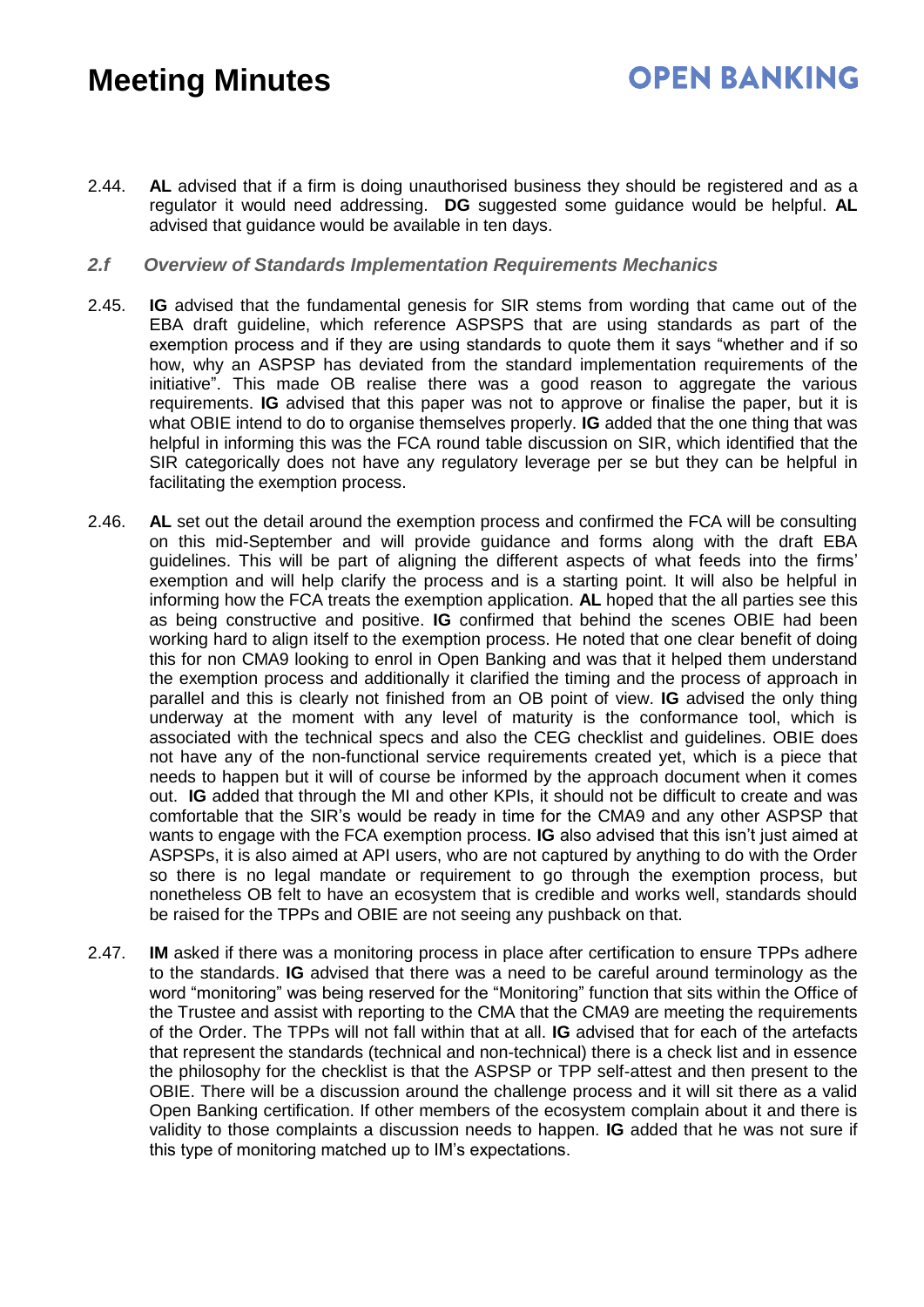### **OPEN BANKING**

2.44. **AL** advised that if a firm is doing unauthorised business they should be registered and as a regulator it would need addressing. **DG** suggested some guidance would be helpful. **AL** advised that guidance would be available in ten days.

#### *2.f Overview of Standards Implementation Requirements Mechanics*

- 2.45. **IG** advised that the fundamental genesis for SIR stems from wording that came out of the EBA draft guideline, which reference ASPSPS that are using standards as part of the exemption process and if they are using standards to quote them it says "whether and if so how, why an ASPSP has deviated from the standard implementation requirements of the initiative". This made OB realise there was a good reason to aggregate the various requirements. **IG** advised that this paper was not to approve or finalise the paper, but it is what OBIE intend to do to organise themselves properly. **IG** added that the one thing that was helpful in informing this was the FCA round table discussion on SIR, which identified that the SIR categorically does not have any regulatory leverage per se but they can be helpful in facilitating the exemption process.
- 2.46. **AL** set out the detail around the exemption process and confirmed the FCA will be consulting on this mid-September and will provide guidance and forms along with the draft EBA guidelines. This will be part of aligning the different aspects of what feeds into the firms' exemption and will help clarify the process and is a starting point. It will also be helpful in informing how the FCA treats the exemption application. **AL** hoped that the all parties see this as being constructive and positive. **IG** confirmed that behind the scenes OBIE had been working hard to align itself to the exemption process. He noted that one clear benefit of doing this for non CMA9 looking to enrol in Open Banking and was that it helped them understand the exemption process and additionally it clarified the timing and the process of approach in parallel and this is clearly not finished from an OB point of view. **IG** advised the only thing underway at the moment with any level of maturity is the conformance tool, which is associated with the technical specs and also the CEG checklist and guidelines. OBIE does not have any of the non-functional service requirements created yet, which is a piece that needs to happen but it will of course be informed by the approach document when it comes out. **IG** added that through the MI and other KPIs, it should not be difficult to create and was comfortable that the SIR's would be ready in time for the CMA9 and any other ASPSP that wants to engage with the FCA exemption process. **IG** also advised that this isn't just aimed at ASPSPs, it is also aimed at API users, who are not captured by anything to do with the Order so there is no legal mandate or requirement to go through the exemption process, but nonetheless OB felt to have an ecosystem that is credible and works well, standards should be raised for the TPPs and OBIE are not seeing any pushback on that.
- 2.47. **IM** asked if there was a monitoring process in place after certification to ensure TPPs adhere to the standards. **IG** advised that there was a need to be careful around terminology as the word "monitoring" was being reserved for the "Monitoring" function that sits within the Office of the Trustee and assist with reporting to the CMA that the CMA9 are meeting the requirements of the Order. The TPPs will not fall within that at all. **IG** advised that for each of the artefacts that represent the standards (technical and non-technical) there is a check list and in essence the philosophy for the checklist is that the ASPSP or TPP self-attest and then present to the OBIE. There will be a discussion around the challenge process and it will sit there as a valid Open Banking certification. If other members of the ecosystem complain about it and there is validity to those complaints a discussion needs to happen. **IG** added that he was not sure if this type of monitoring matched up to IM's expectations.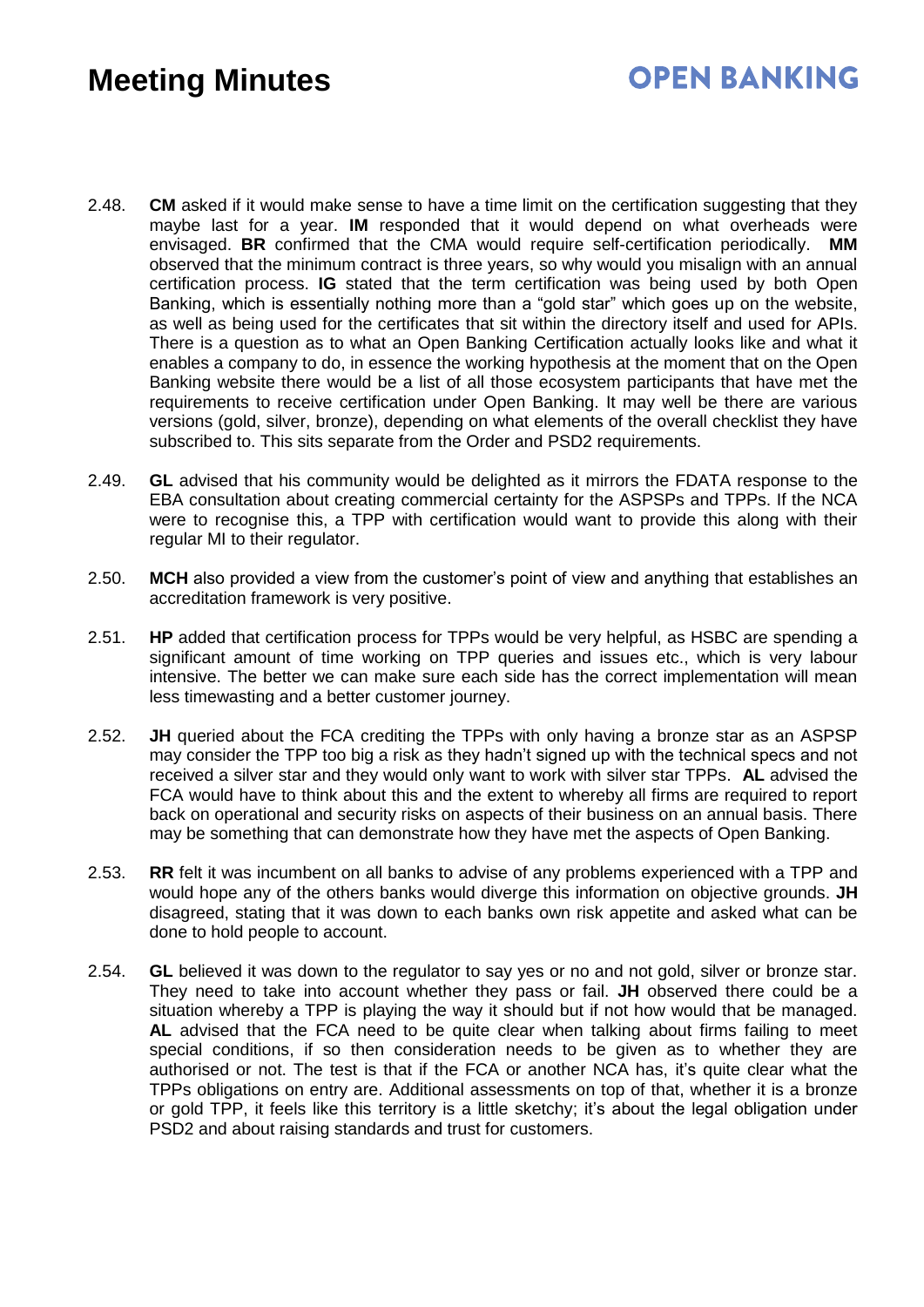### **OPEN BANKING**

- 2.48. **CM** asked if it would make sense to have a time limit on the certification suggesting that they maybe last for a year. **IM** responded that it would depend on what overheads were envisaged. **BR** confirmed that the CMA would require self-certification periodically. **MM** observed that the minimum contract is three years, so why would you misalign with an annual certification process. **IG** stated that the term certification was being used by both Open Banking, which is essentially nothing more than a "gold star" which goes up on the website, as well as being used for the certificates that sit within the directory itself and used for APIs. There is a question as to what an Open Banking Certification actually looks like and what it enables a company to do, in essence the working hypothesis at the moment that on the Open Banking website there would be a list of all those ecosystem participants that have met the requirements to receive certification under Open Banking. It may well be there are various versions (gold, silver, bronze), depending on what elements of the overall checklist they have subscribed to. This sits separate from the Order and PSD2 requirements.
- 2.49. **GL** advised that his community would be delighted as it mirrors the FDATA response to the EBA consultation about creating commercial certainty for the ASPSPs and TPPs. If the NCA were to recognise this, a TPP with certification would want to provide this along with their regular MI to their regulator.
- 2.50. **MCH** also provided a view from the customer's point of view and anything that establishes an accreditation framework is very positive.
- 2.51. **HP** added that certification process for TPPs would be very helpful, as HSBC are spending a significant amount of time working on TPP queries and issues etc., which is very labour intensive. The better we can make sure each side has the correct implementation will mean less timewasting and a better customer journey.
- 2.52. **JH** queried about the FCA crediting the TPPs with only having a bronze star as an ASPSP may consider the TPP too big a risk as they hadn't signed up with the technical specs and not received a silver star and they would only want to work with silver star TPPs. **AL** advised the FCA would have to think about this and the extent to whereby all firms are required to report back on operational and security risks on aspects of their business on an annual basis. There may be something that can demonstrate how they have met the aspects of Open Banking.
- 2.53. **RR** felt it was incumbent on all banks to advise of any problems experienced with a TPP and would hope any of the others banks would diverge this information on objective grounds. **JH** disagreed, stating that it was down to each banks own risk appetite and asked what can be done to hold people to account.
- 2.54. **GL** believed it was down to the regulator to say yes or no and not gold, silver or bronze star. They need to take into account whether they pass or fail. **JH** observed there could be a situation whereby a TPP is playing the way it should but if not how would that be managed. **AL** advised that the FCA need to be quite clear when talking about firms failing to meet special conditions, if so then consideration needs to be given as to whether they are authorised or not. The test is that if the FCA or another NCA has, it's quite clear what the TPPs obligations on entry are. Additional assessments on top of that, whether it is a bronze or gold TPP, it feels like this territory is a little sketchy; it's about the legal obligation under PSD2 and about raising standards and trust for customers.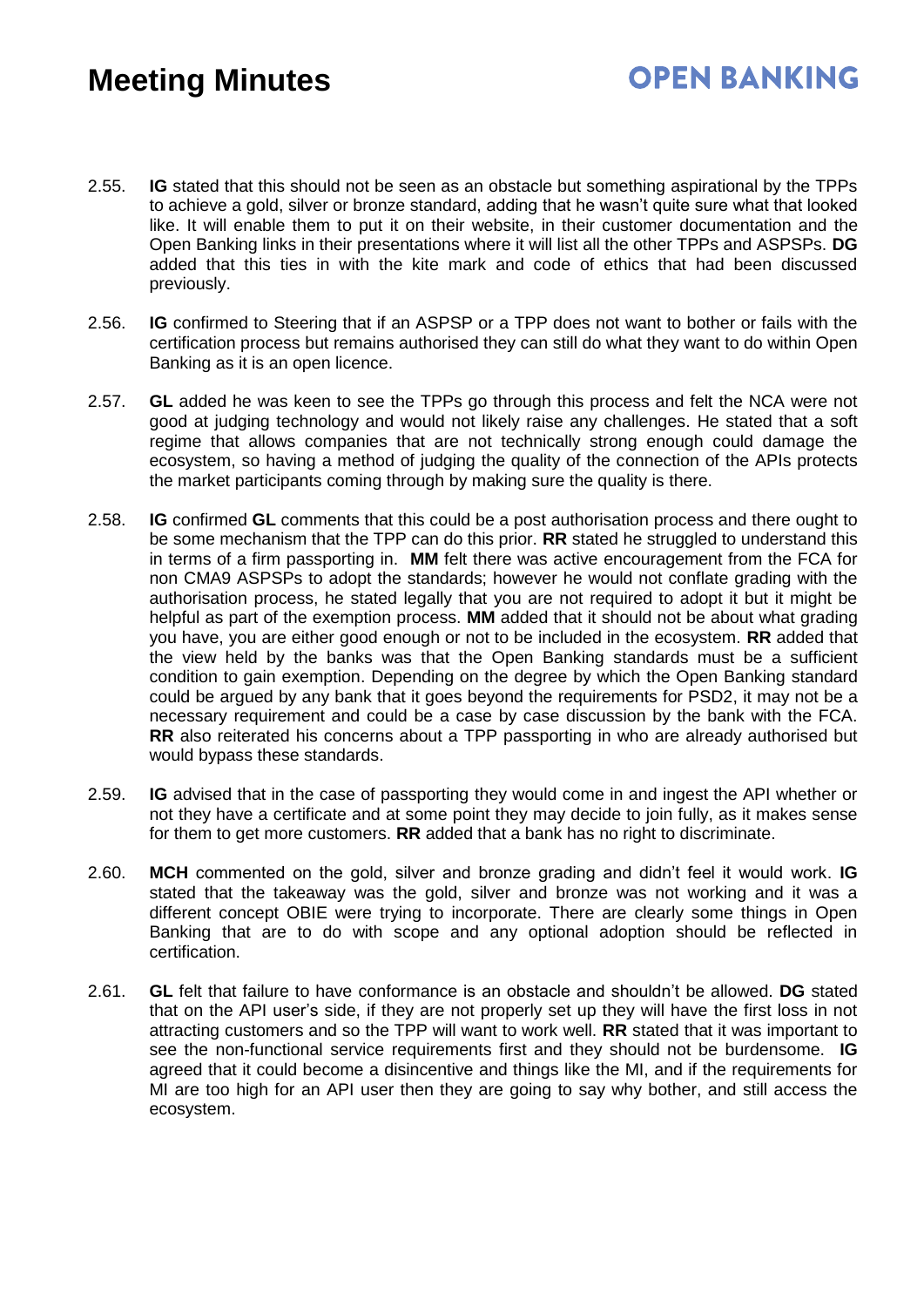- 2.55. **IG** stated that this should not be seen as an obstacle but something aspirational by the TPPs to achieve a gold, silver or bronze standard, adding that he wasn't quite sure what that looked like. It will enable them to put it on their website, in their customer documentation and the Open Banking links in their presentations where it will list all the other TPPs and ASPSPs. **DG** added that this ties in with the kite mark and code of ethics that had been discussed previously.
- 2.56. **IG** confirmed to Steering that if an ASPSP or a TPP does not want to bother or fails with the certification process but remains authorised they can still do what they want to do within Open Banking as it is an open licence.
- 2.57. **GL** added he was keen to see the TPPs go through this process and felt the NCA were not good at judging technology and would not likely raise any challenges. He stated that a soft regime that allows companies that are not technically strong enough could damage the ecosystem, so having a method of judging the quality of the connection of the APIs protects the market participants coming through by making sure the quality is there.
- 2.58. **IG** confirmed **GL** comments that this could be a post authorisation process and there ought to be some mechanism that the TPP can do this prior. **RR** stated he struggled to understand this in terms of a firm passporting in. **MM** felt there was active encouragement from the FCA for non CMA9 ASPSPs to adopt the standards; however he would not conflate grading with the authorisation process, he stated legally that you are not required to adopt it but it might be helpful as part of the exemption process. **MM** added that it should not be about what grading you have, you are either good enough or not to be included in the ecosystem. **RR** added that the view held by the banks was that the Open Banking standards must be a sufficient condition to gain exemption. Depending on the degree by which the Open Banking standard could be argued by any bank that it goes beyond the requirements for PSD2, it may not be a necessary requirement and could be a case by case discussion by the bank with the FCA. **RR** also reiterated his concerns about a TPP passporting in who are already authorised but would bypass these standards.
- 2.59. **IG** advised that in the case of passporting they would come in and ingest the API whether or not they have a certificate and at some point they may decide to join fully, as it makes sense for them to get more customers. **RR** added that a bank has no right to discriminate.
- 2.60. **MCH** commented on the gold, silver and bronze grading and didn't feel it would work. **IG** stated that the takeaway was the gold, silver and bronze was not working and it was a different concept OBIE were trying to incorporate. There are clearly some things in Open Banking that are to do with scope and any optional adoption should be reflected in certification.
- 2.61. **GL** felt that failure to have conformance is an obstacle and shouldn't be allowed. **DG** stated that on the API user's side, if they are not properly set up they will have the first loss in not attracting customers and so the TPP will want to work well. **RR** stated that it was important to see the non-functional service requirements first and they should not be burdensome. **IG** agreed that it could become a disincentive and things like the MI, and if the requirements for MI are too high for an API user then they are going to say why bother, and still access the ecosystem.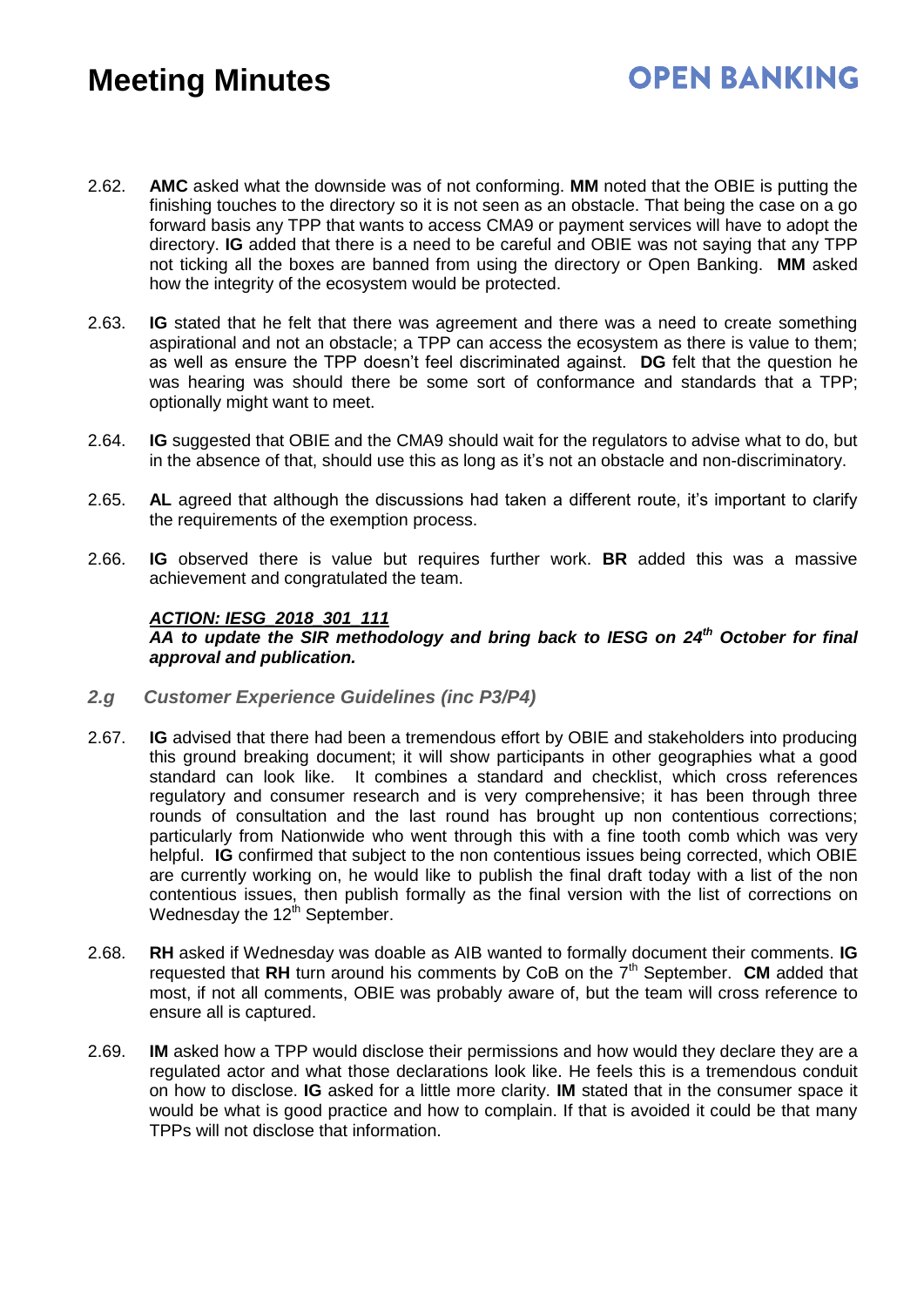- 2.62. **AMC** asked what the downside was of not conforming. **MM** noted that the OBIE is putting the finishing touches to the directory so it is not seen as an obstacle. That being the case on a go forward basis any TPP that wants to access CMA9 or payment services will have to adopt the directory. **IG** added that there is a need to be careful and OBIE was not saying that any TPP not ticking all the boxes are banned from using the directory or Open Banking. **MM** asked how the integrity of the ecosystem would be protected.
- 2.63. **IG** stated that he felt that there was agreement and there was a need to create something aspirational and not an obstacle; a TPP can access the ecosystem as there is value to them; as well as ensure the TPP doesn't feel discriminated against. **DG** felt that the question he was hearing was should there be some sort of conformance and standards that a TPP; optionally might want to meet.
- 2.64. **IG** suggested that OBIE and the CMA9 should wait for the regulators to advise what to do, but in the absence of that, should use this as long as it's not an obstacle and non-discriminatory.
- 2.65. **AL** agreed that although the discussions had taken a different route, it's important to clarify the requirements of the exemption process.
- 2.66. **IG** observed there is value but requires further work. **BR** added this was a massive achievement and congratulated the team.

#### *ACTION: IESG\_2018\_301\_111*

*AA to update the SIR methodology and bring back to IESG on 24th October for final approval and publication.* 

- *2.g Customer Experience Guidelines (inc P3/P4)*
- 2.67. **IG** advised that there had been a tremendous effort by OBIE and stakeholders into producing this ground breaking document; it will show participants in other geographies what a good standard can look like. It combines a standard and checklist, which cross references regulatory and consumer research and is very comprehensive; it has been through three rounds of consultation and the last round has brought up non contentious corrections; particularly from Nationwide who went through this with a fine tooth comb which was very helpful. **IG** confirmed that subject to the non contentious issues being corrected, which OBIE are currently working on, he would like to publish the final draft today with a list of the non contentious issues, then publish formally as the final version with the list of corrections on Wednesday the 12<sup>th</sup> September.
- 2.68. **RH** asked if Wednesday was doable as AIB wanted to formally document their comments. **IG** requested that RH turn around his comments by CoB on the 7<sup>th</sup> September. **CM** added that most, if not all comments, OBIE was probably aware of, but the team will cross reference to ensure all is captured.
- 2.69. **IM** asked how a TPP would disclose their permissions and how would they declare they are a regulated actor and what those declarations look like. He feels this is a tremendous conduit on how to disclose. **IG** asked for a little more clarity. **IM** stated that in the consumer space it would be what is good practice and how to complain. If that is avoided it could be that many TPPs will not disclose that information.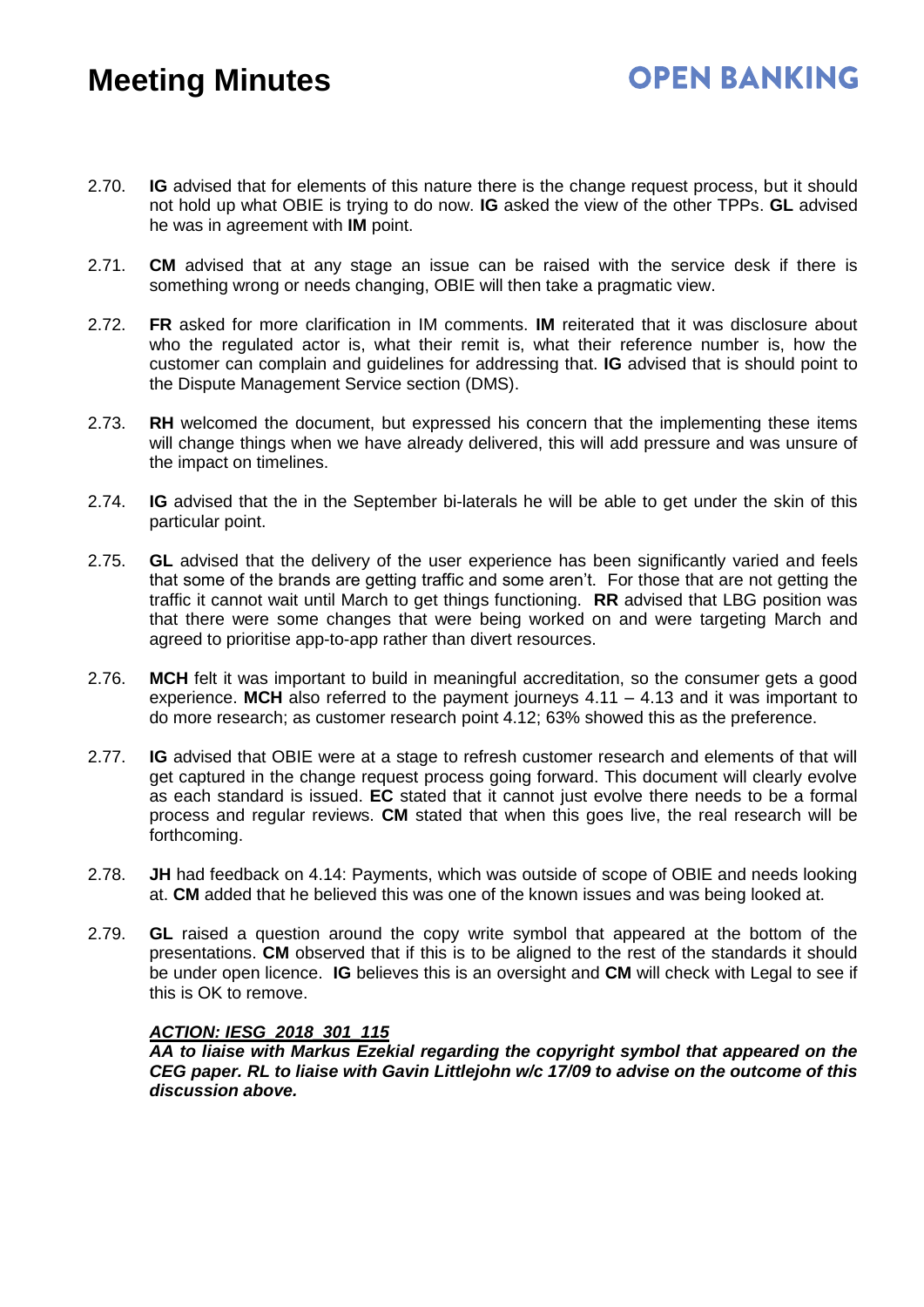- 2.70. **IG** advised that for elements of this nature there is the change request process, but it should not hold up what OBIE is trying to do now. **IG** asked the view of the other TPPs. **GL** advised he was in agreement with **IM** point.
- 2.71. **CM** advised that at any stage an issue can be raised with the service desk if there is something wrong or needs changing, OBIE will then take a pragmatic view.
- 2.72. **FR** asked for more clarification in IM comments. **IM** reiterated that it was disclosure about who the regulated actor is, what their remit is, what their reference number is, how the customer can complain and guidelines for addressing that. **IG** advised that is should point to the Dispute Management Service section (DMS).
- 2.73. **RH** welcomed the document, but expressed his concern that the implementing these items will change things when we have already delivered, this will add pressure and was unsure of the impact on timelines.
- 2.74. **IG** advised that the in the September bi-laterals he will be able to get under the skin of this particular point.
- 2.75. **GL** advised that the delivery of the user experience has been significantly varied and feels that some of the brands are getting traffic and some aren't. For those that are not getting the traffic it cannot wait until March to get things functioning. **RR** advised that LBG position was that there were some changes that were being worked on and were targeting March and agreed to prioritise app-to-app rather than divert resources.
- 2.76. **MCH** felt it was important to build in meaningful accreditation, so the consumer gets a good experience. **MCH** also referred to the payment journeys 4.11 – 4.13 and it was important to do more research; as customer research point 4.12; 63% showed this as the preference.
- 2.77. **IG** advised that OBIE were at a stage to refresh customer research and elements of that will get captured in the change request process going forward. This document will clearly evolve as each standard is issued. **EC** stated that it cannot just evolve there needs to be a formal process and regular reviews. **CM** stated that when this goes live, the real research will be forthcoming.
- 2.78. **JH** had feedback on 4.14: Payments, which was outside of scope of OBIE and needs looking at. **CM** added that he believed this was one of the known issues and was being looked at.
- 2.79. **GL** raised a question around the copy write symbol that appeared at the bottom of the presentations. **CM** observed that if this is to be aligned to the rest of the standards it should be under open licence. **IG** believes this is an oversight and **CM** will check with Legal to see if this is OK to remove.

#### *ACTION: IESG\_2018\_301\_115*

*AA to liaise with Markus Ezekial regarding the copyright symbol that appeared on the CEG paper. RL to liaise with Gavin Littlejohn w/c 17/09 to advise on the outcome of this discussion above.*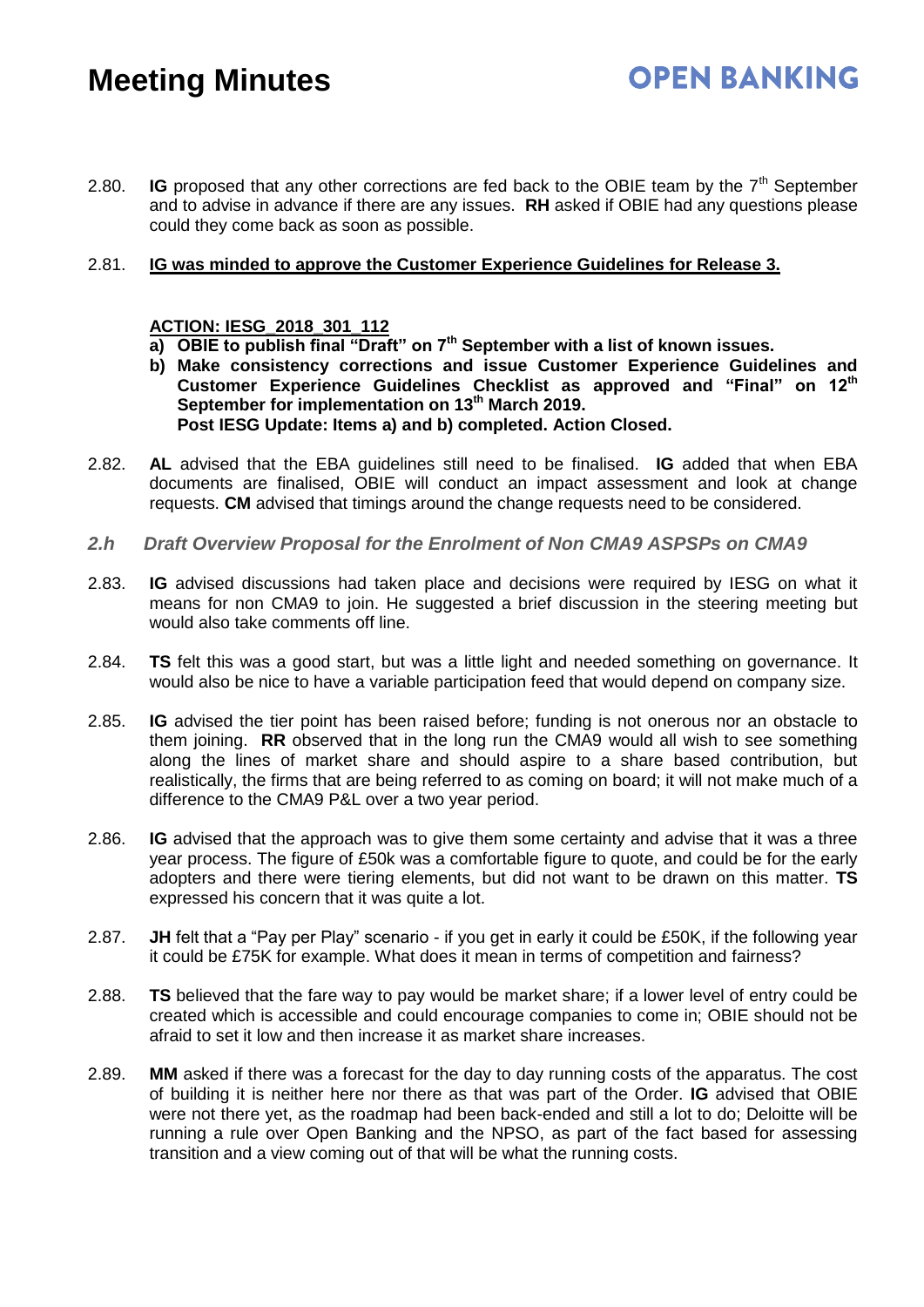2.80. **IG** proposed that any other corrections are fed back to the OBIE team by the  $7<sup>th</sup>$  September and to advise in advance if there are any issues. **RH** asked if OBIE had any questions please could they come back as soon as possible.

**OPEN BANKING** 

#### 2.81. **IG was minded to approve the Customer Experience Guidelines for Release 3.**

#### **ACTION: IESG\_2018\_301\_112**

**a) OBIE to publish final "Draft" on 7th September with a list of known issues.** 

- **b) Make consistency corrections and issue Customer Experience Guidelines and Customer Experience Guidelines Checklist as approved and "Final" on 12th September for implementation on 13th March 2019. Post IESG Update: Items a) and b) completed. Action Closed.**
- 2.82. **AL** advised that the EBA guidelines still need to be finalised. **IG** added that when EBA documents are finalised, OBIE will conduct an impact assessment and look at change requests. **CM** advised that timings around the change requests need to be considered.
- *2.h Draft Overview Proposal for the Enrolment of Non CMA9 ASPSPs on CMA9*
- 2.83. **IG** advised discussions had taken place and decisions were required by IESG on what it means for non CMA9 to join. He suggested a brief discussion in the steering meeting but would also take comments off line.
- 2.84. **TS** felt this was a good start, but was a little light and needed something on governance. It would also be nice to have a variable participation feed that would depend on company size.
- 2.85. **IG** advised the tier point has been raised before; funding is not onerous nor an obstacle to them joining. **RR** observed that in the long run the CMA9 would all wish to see something along the lines of market share and should aspire to a share based contribution, but realistically, the firms that are being referred to as coming on board; it will not make much of a difference to the CMA9 P&L over a two year period.
- 2.86. **IG** advised that the approach was to give them some certainty and advise that it was a three year process. The figure of £50k was a comfortable figure to quote, and could be for the early adopters and there were tiering elements, but did not want to be drawn on this matter. **TS** expressed his concern that it was quite a lot.
- 2.87. **JH** felt that a "Pay per Play" scenario if you get in early it could be £50K, if the following year it could be £75K for example. What does it mean in terms of competition and fairness?
- 2.88. **TS** believed that the fare way to pay would be market share; if a lower level of entry could be created which is accessible and could encourage companies to come in; OBIE should not be afraid to set it low and then increase it as market share increases.
- 2.89. **MM** asked if there was a forecast for the day to day running costs of the apparatus. The cost of building it is neither here nor there as that was part of the Order. **IG** advised that OBIE were not there yet, as the roadmap had been back-ended and still a lot to do; Deloitte will be running a rule over Open Banking and the NPSO, as part of the fact based for assessing transition and a view coming out of that will be what the running costs.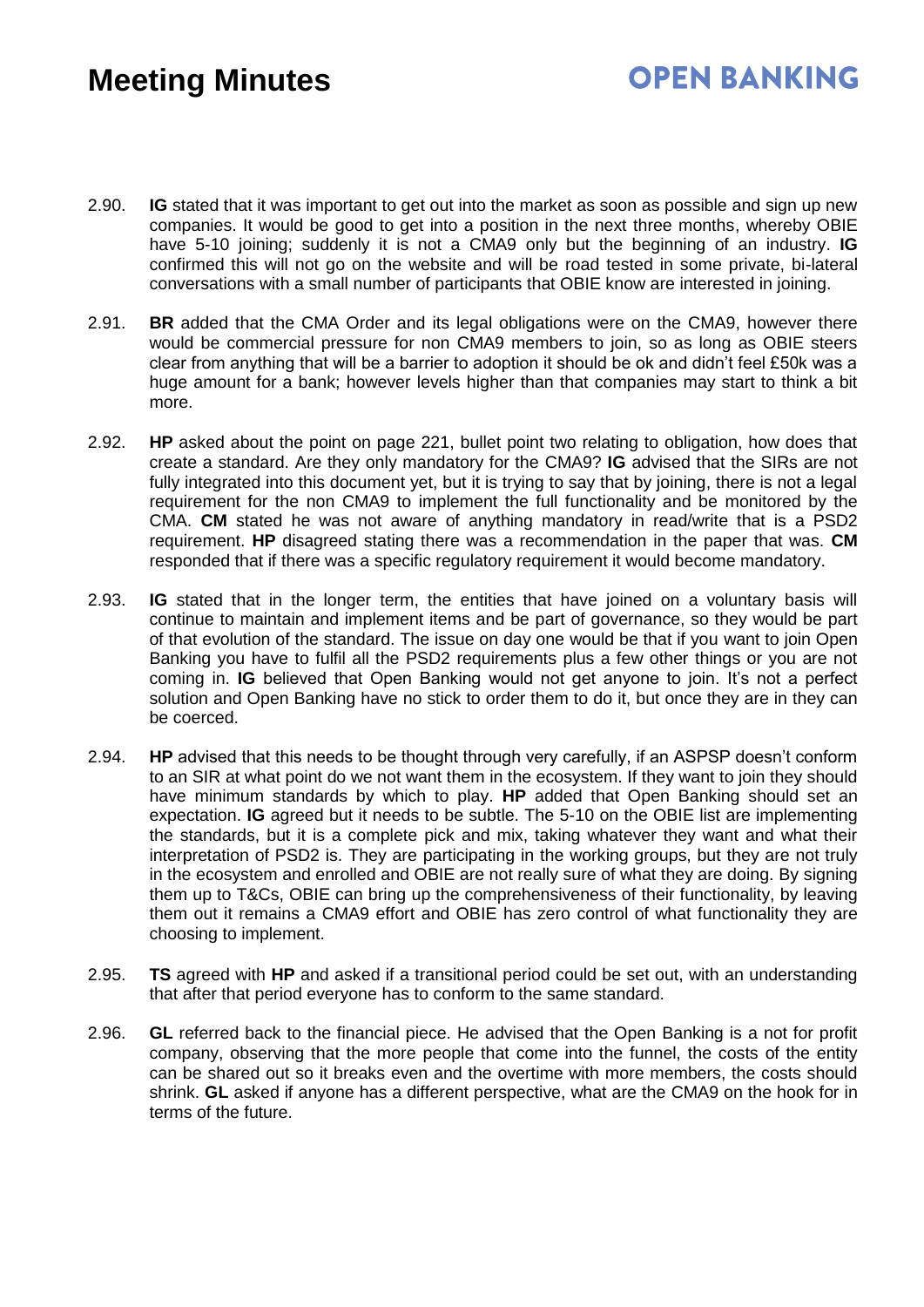### **OPEN BANKING**

- 2.90. **IG** stated that it was important to get out into the market as soon as possible and sign up new companies. It would be good to get into a position in the next three months, whereby OBIE have 5-10 joining; suddenly it is not a CMA9 only but the beginning of an industry. **IG** confirmed this will not go on the website and will be road tested in some private, bi-lateral conversations with a small number of participants that OBIE know are interested in joining.
- 2.91. **BR** added that the CMA Order and its legal obligations were on the CMA9, however there would be commercial pressure for non CMA9 members to join, so as long as OBIE steers clear from anything that will be a barrier to adoption it should be ok and didn't feel £50k was a huge amount for a bank; however levels higher than that companies may start to think a bit more.
- 2.92. **HP** asked about the point on page 221, bullet point two relating to obligation, how does that create a standard. Are they only mandatory for the CMA9? **IG** advised that the SIRs are not fully integrated into this document yet, but it is trying to say that by joining, there is not a legal requirement for the non CMA9 to implement the full functionality and be monitored by the CMA. **CM** stated he was not aware of anything mandatory in read/write that is a PSD2 requirement. **HP** disagreed stating there was a recommendation in the paper that was. **CM** responded that if there was a specific regulatory requirement it would become mandatory.
- 2.93. **IG** stated that in the longer term, the entities that have joined on a voluntary basis will continue to maintain and implement items and be part of governance, so they would be part of that evolution of the standard. The issue on day one would be that if you want to join Open Banking you have to fulfil all the PSD2 requirements plus a few other things or you are not coming in. **IG** believed that Open Banking would not get anyone to join. It's not a perfect solution and Open Banking have no stick to order them to do it, but once they are in they can be coerced.
- 2.94. **HP** advised that this needs to be thought through very carefully, if an ASPSP doesn't conform to an SIR at what point do we not want them in the ecosystem. If they want to join they should have minimum standards by which to play. **HP** added that Open Banking should set an expectation. **IG** agreed but it needs to be subtle. The 5-10 on the OBIE list are implementing the standards, but it is a complete pick and mix, taking whatever they want and what their interpretation of PSD2 is. They are participating in the working groups, but they are not truly in the ecosystem and enrolled and OBIE are not really sure of what they are doing. By signing them up to T&Cs, OBIE can bring up the comprehensiveness of their functionality, by leaving them out it remains a CMA9 effort and OBIE has zero control of what functionality they are choosing to implement.
- 2.95. **TS** agreed with **HP** and asked if a transitional period could be set out, with an understanding that after that period everyone has to conform to the same standard.
- 2.96. **GL** referred back to the financial piece. He advised that the Open Banking is a not for profit company, observing that the more people that come into the funnel, the costs of the entity can be shared out so it breaks even and the overtime with more members, the costs should shrink. **GL** asked if anyone has a different perspective, what are the CMA9 on the hook for in terms of the future.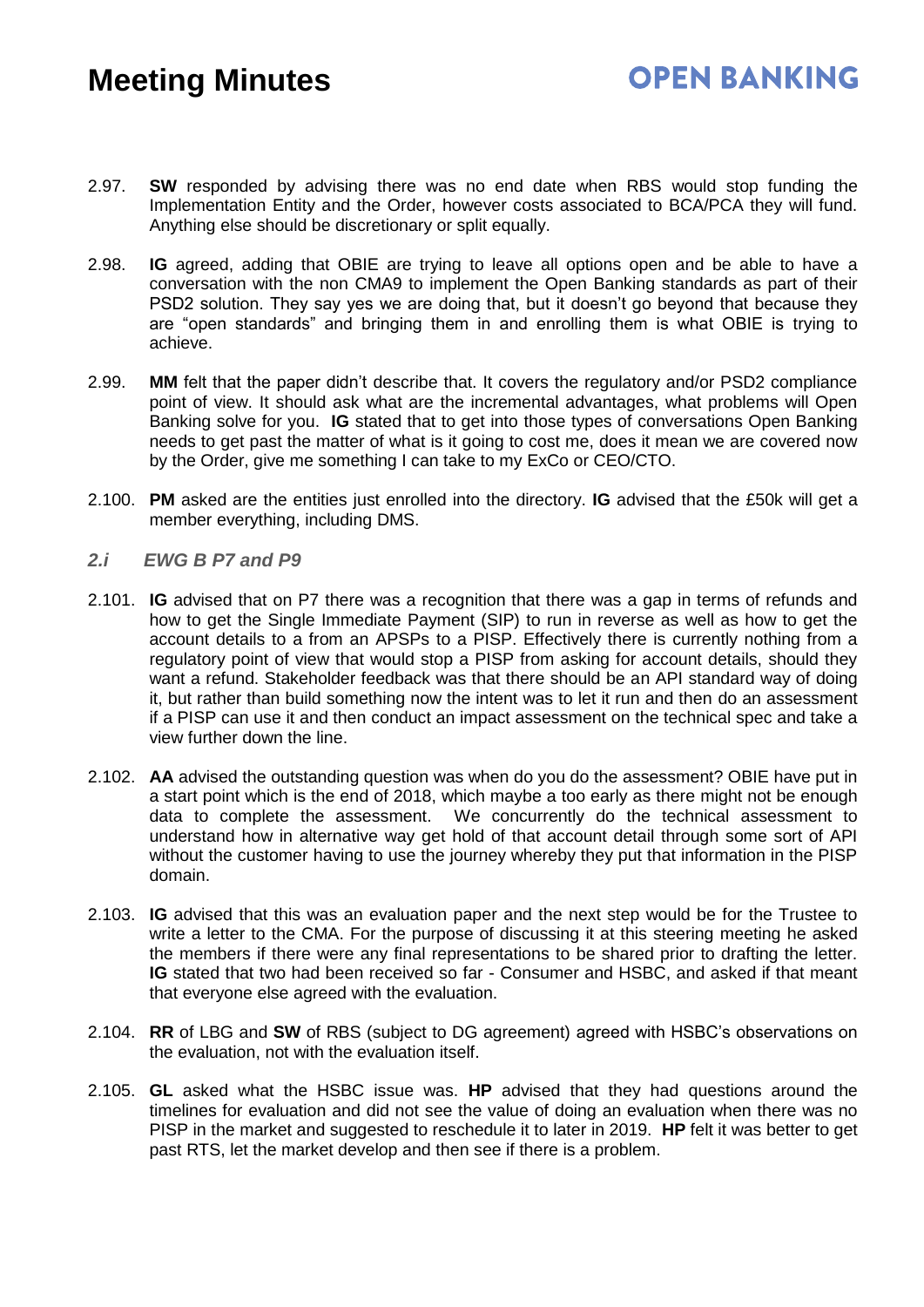- 2.97. **SW** responded by advising there was no end date when RBS would stop funding the Implementation Entity and the Order, however costs associated to BCA/PCA they will fund. Anything else should be discretionary or split equally.
- 2.98. **IG** agreed, adding that OBIE are trying to leave all options open and be able to have a conversation with the non CMA9 to implement the Open Banking standards as part of their PSD2 solution. They say yes we are doing that, but it doesn't go beyond that because they are "open standards" and bringing them in and enrolling them is what OBIE is trying to achieve.
- 2.99. **MM** felt that the paper didn't describe that. It covers the regulatory and/or PSD2 compliance point of view. It should ask what are the incremental advantages, what problems will Open Banking solve for you. **IG** stated that to get into those types of conversations Open Banking needs to get past the matter of what is it going to cost me, does it mean we are covered now by the Order, give me something I can take to my ExCo or CEO/CTO.
- 2.100. **PM** asked are the entities just enrolled into the directory. **IG** advised that the £50k will get a member everything, including DMS.

#### *2.i EWG B P7 and P9*

- 2.101. **IG** advised that on P7 there was a recognition that there was a gap in terms of refunds and how to get the Single Immediate Payment (SIP) to run in reverse as well as how to get the account details to a from an APSPs to a PISP. Effectively there is currently nothing from a regulatory point of view that would stop a PISP from asking for account details, should they want a refund. Stakeholder feedback was that there should be an API standard way of doing it, but rather than build something now the intent was to let it run and then do an assessment if a PISP can use it and then conduct an impact assessment on the technical spec and take a view further down the line.
- 2.102. **AA** advised the outstanding question was when do you do the assessment? OBIE have put in a start point which is the end of 2018, which maybe a too early as there might not be enough data to complete the assessment. We concurrently do the technical assessment to understand how in alternative way get hold of that account detail through some sort of API without the customer having to use the journey whereby they put that information in the PISP domain.
- 2.103. **IG** advised that this was an evaluation paper and the next step would be for the Trustee to write a letter to the CMA. For the purpose of discussing it at this steering meeting he asked the members if there were any final representations to be shared prior to drafting the letter. **IG** stated that two had been received so far - Consumer and HSBC, and asked if that meant that everyone else agreed with the evaluation.
- 2.104. **RR** of LBG and **SW** of RBS (subject to DG agreement) agreed with HSBC's observations on the evaluation, not with the evaluation itself.
- 2.105. **GL** asked what the HSBC issue was. **HP** advised that they had questions around the timelines for evaluation and did not see the value of doing an evaluation when there was no PISP in the market and suggested to reschedule it to later in 2019. **HP** felt it was better to get past RTS, let the market develop and then see if there is a problem.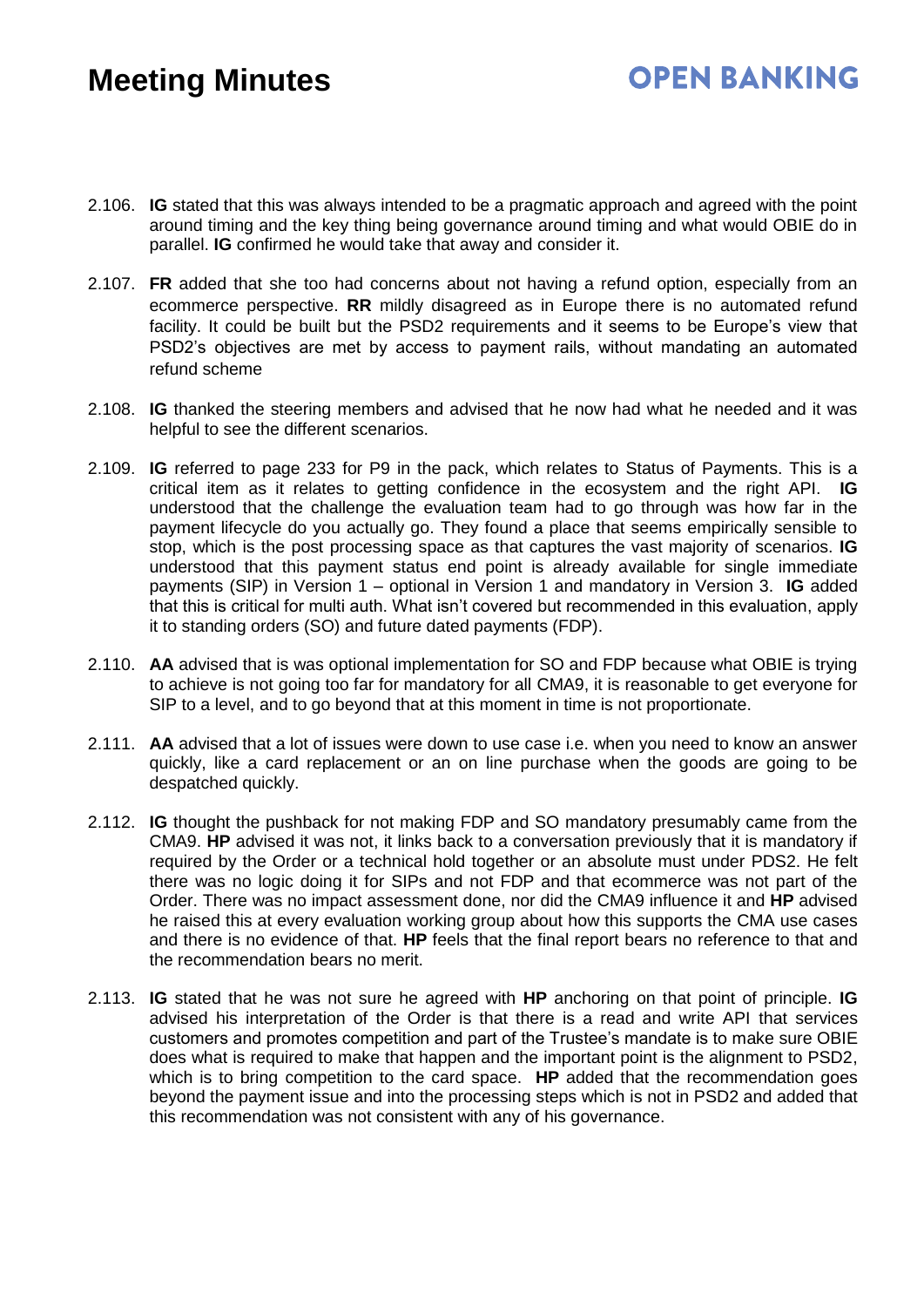### **OPEN BANKING**

- 2.106. **IG** stated that this was always intended to be a pragmatic approach and agreed with the point around timing and the key thing being governance around timing and what would OBIE do in parallel. **IG** confirmed he would take that away and consider it.
- 2.107. **FR** added that she too had concerns about not having a refund option, especially from an ecommerce perspective. **RR** mildly disagreed as in Europe there is no automated refund facility. It could be built but the PSD2 requirements and it seems to be Europe's view that PSD2's objectives are met by access to payment rails, without mandating an automated refund scheme
- 2.108. **IG** thanked the steering members and advised that he now had what he needed and it was helpful to see the different scenarios.
- 2.109. **IG** referred to page 233 for P9 in the pack, which relates to Status of Payments. This is a critical item as it relates to getting confidence in the ecosystem and the right API. **IG** understood that the challenge the evaluation team had to go through was how far in the payment lifecycle do you actually go. They found a place that seems empirically sensible to stop, which is the post processing space as that captures the vast majority of scenarios. **IG** understood that this payment status end point is already available for single immediate payments (SIP) in Version 1 – optional in Version 1 and mandatory in Version 3. **IG** added that this is critical for multi auth. What isn't covered but recommended in this evaluation, apply it to standing orders (SO) and future dated payments (FDP).
- 2.110. **AA** advised that is was optional implementation for SO and FDP because what OBIE is trying to achieve is not going too far for mandatory for all CMA9, it is reasonable to get everyone for SIP to a level, and to go beyond that at this moment in time is not proportionate.
- 2.111. **AA** advised that a lot of issues were down to use case i.e. when you need to know an answer quickly, like a card replacement or an on line purchase when the goods are going to be despatched quickly.
- 2.112. **IG** thought the pushback for not making FDP and SO mandatory presumably came from the CMA9. **HP** advised it was not, it links back to a conversation previously that it is mandatory if required by the Order or a technical hold together or an absolute must under PDS2. He felt there was no logic doing it for SIPs and not FDP and that ecommerce was not part of the Order. There was no impact assessment done, nor did the CMA9 influence it and **HP** advised he raised this at every evaluation working group about how this supports the CMA use cases and there is no evidence of that. **HP** feels that the final report bears no reference to that and the recommendation bears no merit.
- 2.113. **IG** stated that he was not sure he agreed with **HP** anchoring on that point of principle. **IG** advised his interpretation of the Order is that there is a read and write API that services customers and promotes competition and part of the Trustee's mandate is to make sure OBIE does what is required to make that happen and the important point is the alignment to PSD2, which is to bring competition to the card space. **HP** added that the recommendation goes beyond the payment issue and into the processing steps which is not in PSD2 and added that this recommendation was not consistent with any of his governance.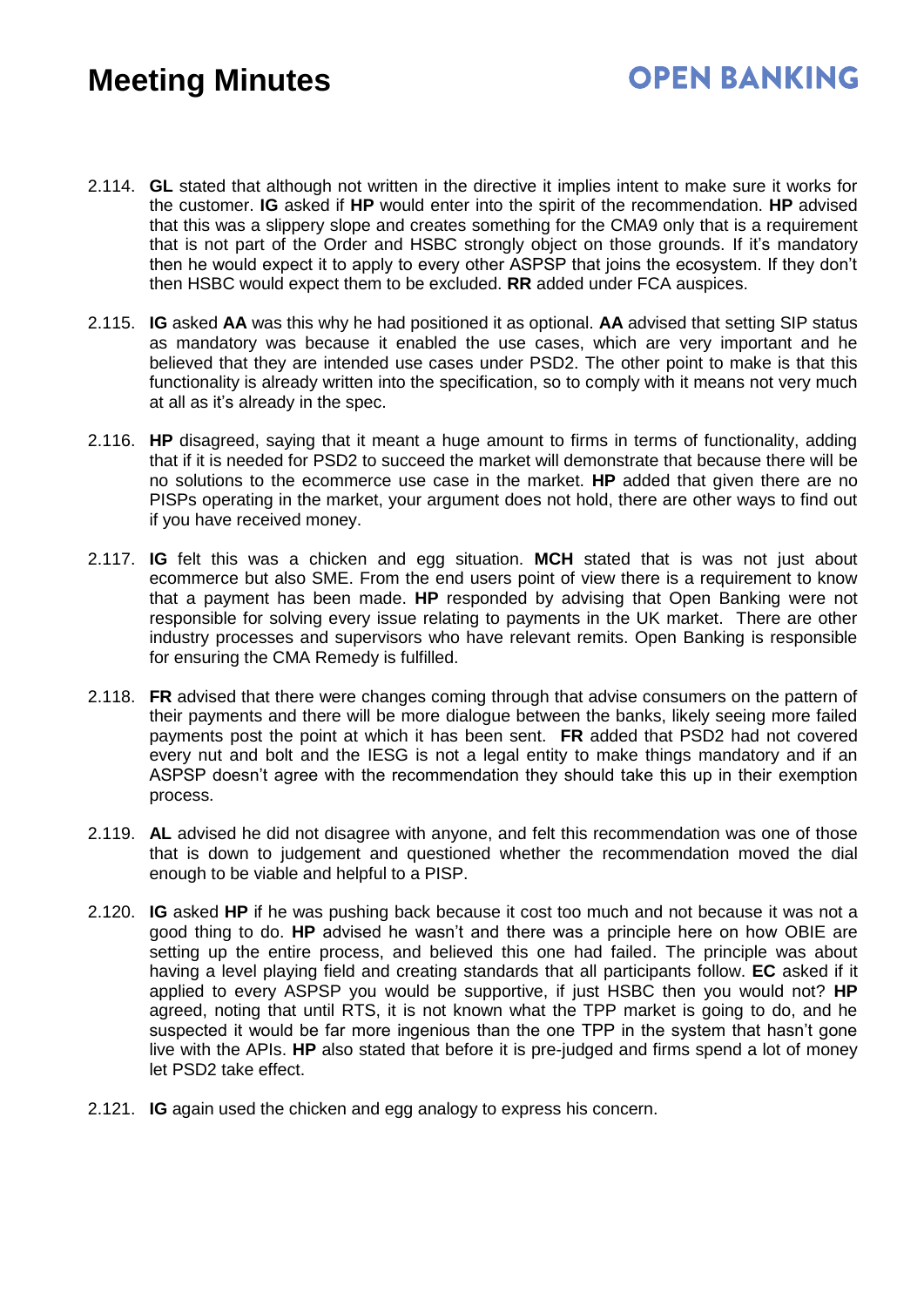- 2.114. **GL** stated that although not written in the directive it implies intent to make sure it works for the customer. **IG** asked if **HP** would enter into the spirit of the recommendation. **HP** advised that this was a slippery slope and creates something for the CMA9 only that is a requirement that is not part of the Order and HSBC strongly object on those grounds. If it's mandatory then he would expect it to apply to every other ASPSP that joins the ecosystem. If they don't then HSBC would expect them to be excluded. **RR** added under FCA auspices.
- 2.115. **IG** asked **AA** was this why he had positioned it as optional. **AA** advised that setting SIP status as mandatory was because it enabled the use cases, which are very important and he believed that they are intended use cases under PSD2. The other point to make is that this functionality is already written into the specification, so to comply with it means not very much at all as it's already in the spec.
- 2.116. **HP** disagreed, saying that it meant a huge amount to firms in terms of functionality, adding that if it is needed for PSD2 to succeed the market will demonstrate that because there will be no solutions to the ecommerce use case in the market. **HP** added that given there are no PISPs operating in the market, your argument does not hold, there are other ways to find out if you have received money.
- 2.117. **IG** felt this was a chicken and egg situation. **MCH** stated that is was not just about ecommerce but also SME. From the end users point of view there is a requirement to know that a payment has been made. **HP** responded by advising that Open Banking were not responsible for solving every issue relating to payments in the UK market. There are other industry processes and supervisors who have relevant remits. Open Banking is responsible for ensuring the CMA Remedy is fulfilled.
- 2.118. **FR** advised that there were changes coming through that advise consumers on the pattern of their payments and there will be more dialogue between the banks, likely seeing more failed payments post the point at which it has been sent. **FR** added that PSD2 had not covered every nut and bolt and the IESG is not a legal entity to make things mandatory and if an ASPSP doesn't agree with the recommendation they should take this up in their exemption process.
- 2.119. **AL** advised he did not disagree with anyone, and felt this recommendation was one of those that is down to judgement and questioned whether the recommendation moved the dial enough to be viable and helpful to a PISP.
- 2.120. **IG** asked **HP** if he was pushing back because it cost too much and not because it was not a good thing to do. **HP** advised he wasn't and there was a principle here on how OBIE are setting up the entire process, and believed this one had failed. The principle was about having a level playing field and creating standards that all participants follow. **EC** asked if it applied to every ASPSP you would be supportive, if just HSBC then you would not? **HP** agreed, noting that until RTS, it is not known what the TPP market is going to do, and he suspected it would be far more ingenious than the one TPP in the system that hasn't gone live with the APIs. **HP** also stated that before it is pre-judged and firms spend a lot of money let PSD2 take effect.
- 2.121. **IG** again used the chicken and egg analogy to express his concern.